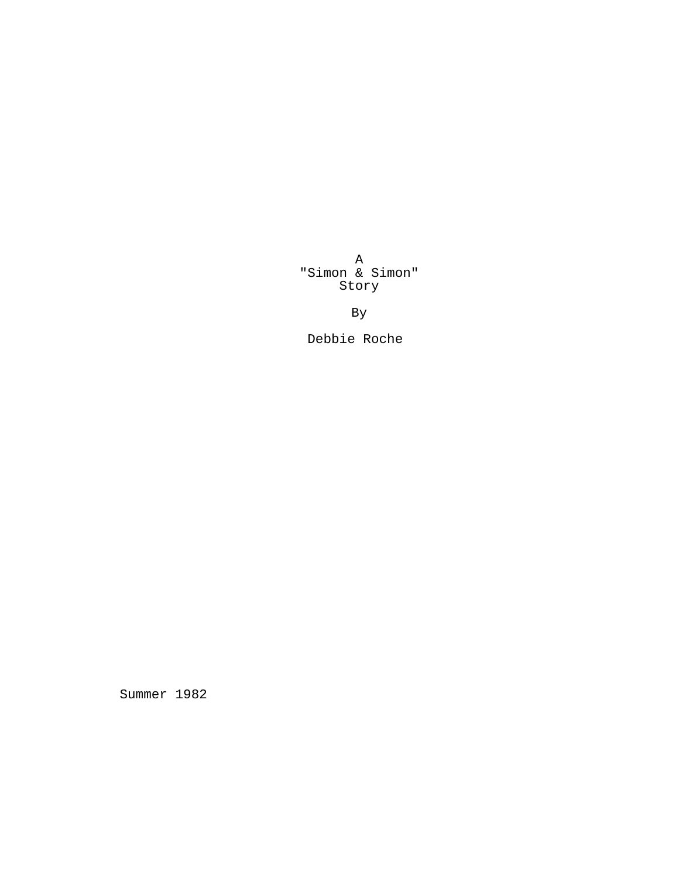A "Simon & Simon" Story

By

Debbie Roche

Summer 1982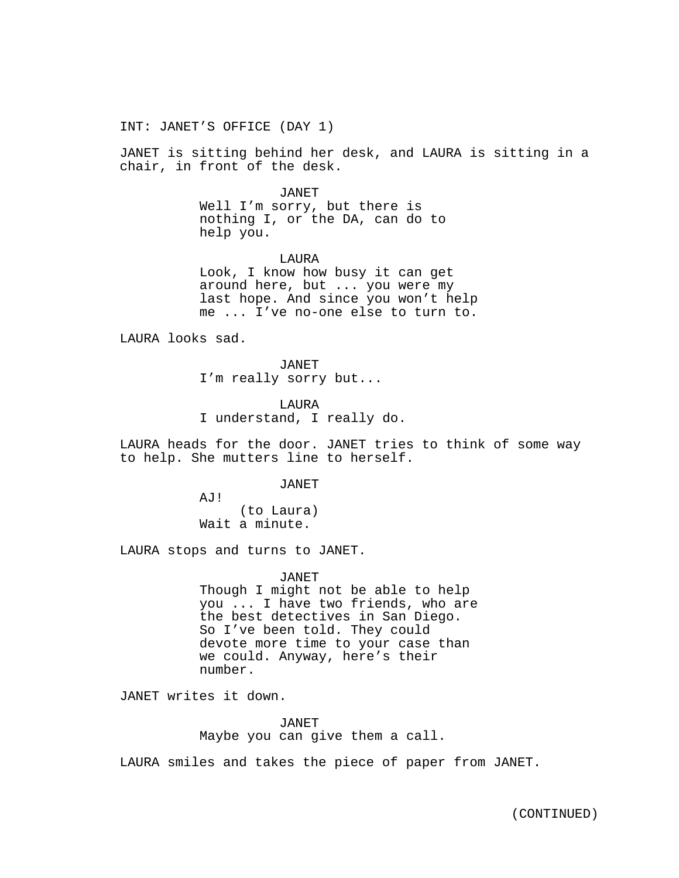INT: JANET'S OFFICE (DAY 1)

JANET is sitting behind her desk, and LAURA is sitting in a chair, in front of the desk.

JANET

Well I'm sorry, but there is nothing I, or the DA, can do to help you.

LAURA Look, I know how busy it can get around here, but ... you were my last hope. And since you won't help me ... I've no-one else to turn to.

LAURA looks sad.

JANET I'm really sorry but...

LAURA I understand, I really do.

LAURA heads for the door. JANET tries to think of some way to help. She mutters line to herself.

JANET

AJ! (to Laura) Wait a minute.

LAURA stops and turns to JANET.

JANET

Though I might not be able to help you ... I have two friends, who are the best detectives in San Diego. So I've been told. They could devote more time to your case than we could. Anyway, here's their number.

JANET writes it down.

JANET Maybe you can give them a call.

LAURA smiles and takes the piece of paper from JANET.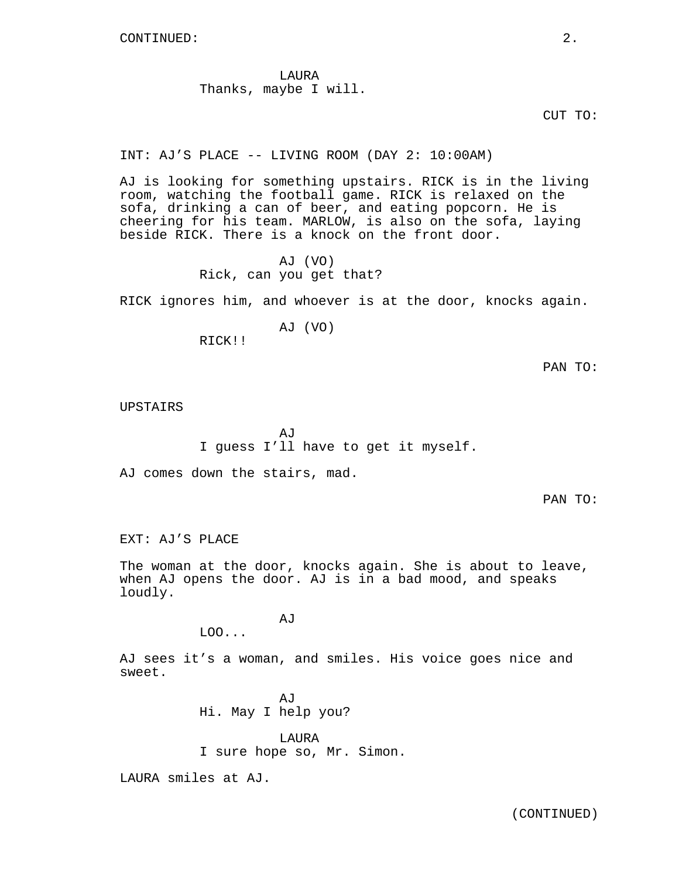LAURA Thanks, maybe I will.

CUT TO:

INT: AJ'S PLACE -- LIVING ROOM (DAY 2: 10:00AM)

AJ is looking for something upstairs. RICK is in the living room, watching the football game. RICK is relaxed on the sofa, drinking a can of beer, and eating popcorn. He is cheering for his team. MARLOW, is also on the sofa, laying beside RICK. There is a knock on the front door.

> AJ (VO) Rick, can you get that?

RICK ignores him, and whoever is at the door, knocks again.

AJ (VO)

RICK!!

PAN TO:

UPSTAIRS

**AJ** I guess I'll have to get it myself.

AJ comes down the stairs, mad.

PAN TO:

EXT: AJ'S PLACE

The woman at the door, knocks again. She is about to leave, when AJ opens the door. AJ is in a bad mood, and speaks loudly.

LOO...

AJ sees it's a woman, and smiles. His voice goes nice and sweet.

> AJ Hi. May I help you?

AJ

LAURA I sure hope so, Mr. Simon.

LAURA smiles at AJ.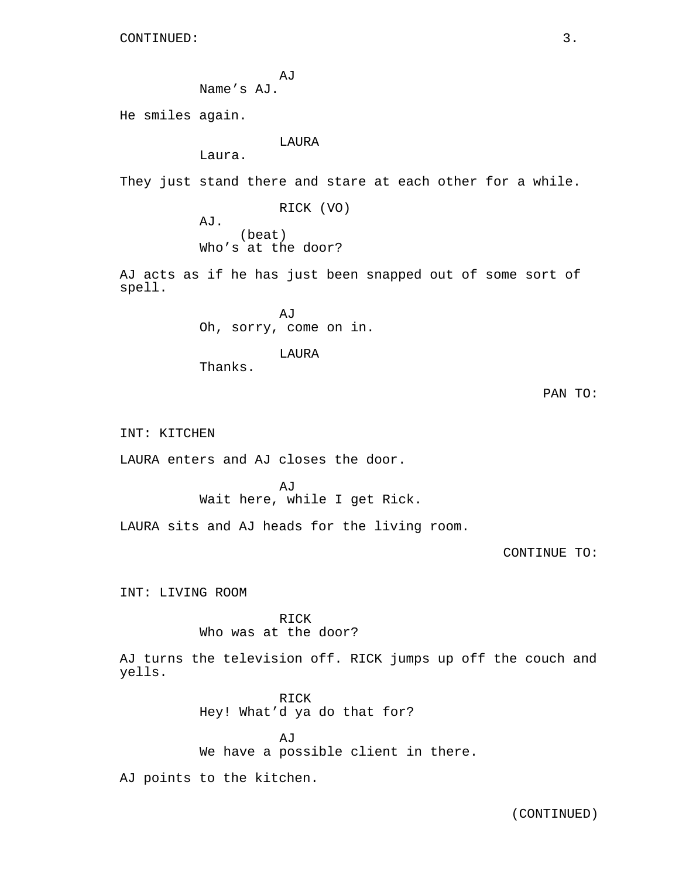```
AJ
Name's AJ.
```
He smiles again.

LAURA

Laura.

They just stand there and stare at each other for a while.

RICK (VO) AJ. (beat) Who's at the door?

AJ acts as if he has just been snapped out of some sort of spell.

> AJ Oh, sorry, come on in.

> > LAURA

Thanks.

PAN TO:

INT: KITCHEN

LAURA enters and AJ closes the door.

AJ Wait here, while I get Rick.

LAURA sits and AJ heads for the living room.

CONTINUE TO:

INT: LIVING ROOM

RICK Who was at the door?

AJ turns the television off. RICK jumps up off the couch and yells.

> RICK Hey! What'd ya do that for?

AJ We have a possible client in there.

AJ points to the kitchen.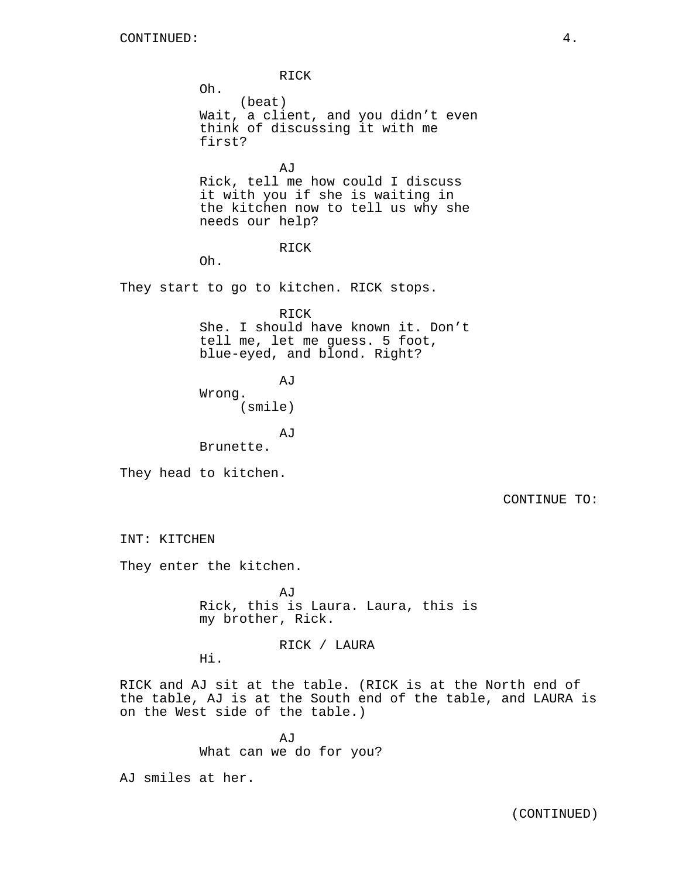RICK Oh. (beat) Wait, a client, and you didn't even think of discussing it with me first?

AJ Rick, tell me how could I discuss it with you if she is waiting in the kitchen now to tell us why she needs our help?

## RICK

Oh.

They start to go to kitchen. RICK stops.

RICK She. I should have known it. Don't tell me, let me guess. 5 foot, blue-eyed, and blond. Right?

AJ

Wrong. (smile)

AJ

Brunette.

They head to kitchen.

CONTINUE TO:

INT: KITCHEN

They enter the kitchen.

AJ Rick, this is Laura. Laura, this is my brother, Rick.

# RICK / LAURA

Hi.

RICK and AJ sit at the table. (RICK is at the North end of the table, AJ is at the South end of the table, and LAURA is on the West side of the table.)

> AJ What can we do for you?

AJ smiles at her.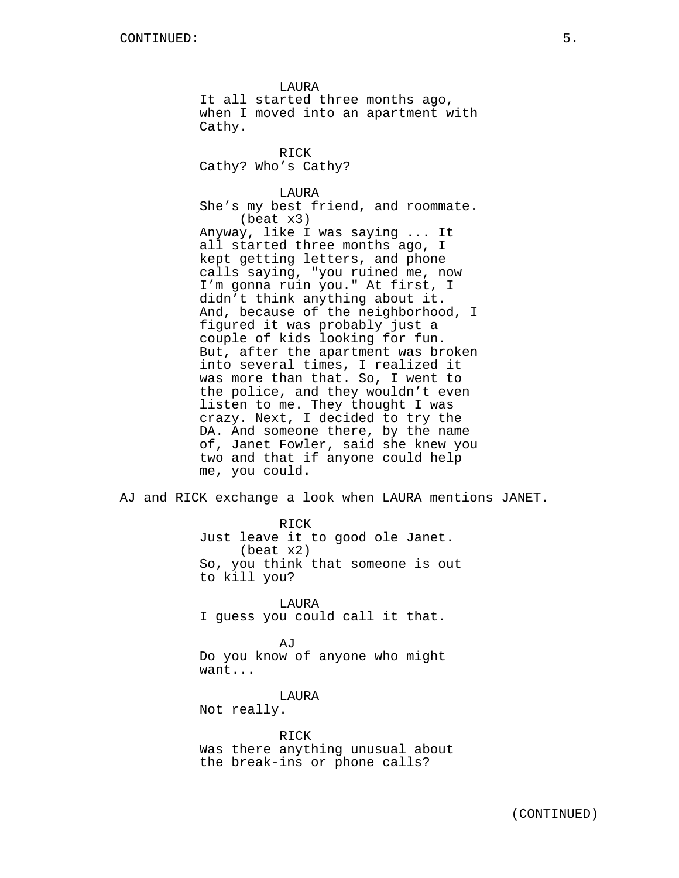LAURA It all started three months ago, when I moved into an apartment with Cathy.

RICK Cathy? Who's Cathy?

LAURA She's my best friend, and roommate. (beat x3) Anyway, like I was saying ... It all started three months ago, I kept getting letters, and phone calls saying, "you ruined me, now I'm gonna ruin you." At first, I didn't think anything about it. And, because of the neighborhood, I figured it was probably just a couple of kids looking for fun. But, after the apartment was broken into several times, I realized it was more than that. So, I went to the police, and they wouldn't even listen to me. They thought I was crazy. Next, I decided to try the DA. And someone there, by the name of, Janet Fowler, said she knew you two and that if anyone could help me, you could.

AJ and RICK exchange a look when LAURA mentions JANET.

RICK Just leave it to good ole Janet. (beat x2) So, you think that someone is out to kill you?

LAURA I guess you could call it that.

AJ Do you know of anyone who might want...

LAURA Not really.

RICK Was there anything unusual about the break-ins or phone calls?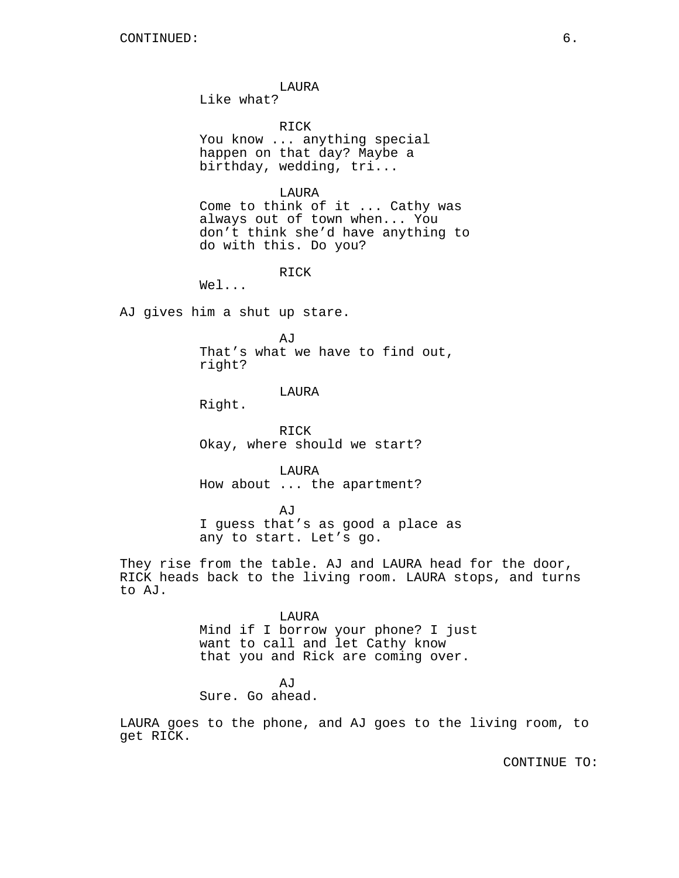LAURA

Like what?

RICK

You know ... anything special happen on that day? Maybe a birthday, wedding, tri...

LAURA

Come to think of it ... Cathy was always out of town when... You don't think she'd have anything to do with this. Do you?

RICK

Wel...

AJ gives him a shut up stare.

AJ

That's what we have to find out, right?

### LAURA

Right.

RICK Okay, where should we start?

LAURA How about ... the apartment?

AJ I guess that's as good a place as any to start. Let's go.

They rise from the table. AJ and LAURA head for the door, RICK heads back to the living room. LAURA stops, and turns to AJ.

LAURA

Mind if I borrow your phone? I just want to call and let Cathy know that you and Rick are coming over.

AJ Sure. Go ahead.

LAURA goes to the phone, and AJ goes to the living room, to get RICK.

CONTINUE TO: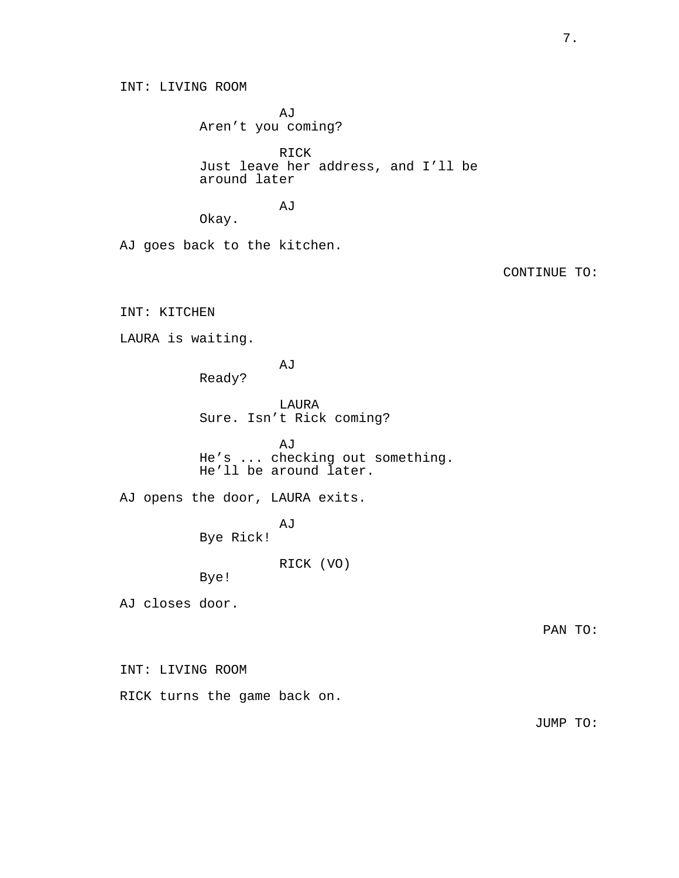INT: LIVING ROOM

AJ Aren't you coming?

RICK Just leave her address, and I'll be around later

AJ

Okay.

AJ goes back to the kitchen.

CONTINUE TO:

INT: KITCHEN

LAURA is waiting.

AJ

Ready?

LAURA Sure. Isn't Rick coming?

AJ He's ... checking out something. He'll be around later.

AJ opens the door, LAURA exits.

AJ Bye Rick!

RICK (VO)

Bye!

AJ closes door.

INT: LIVING ROOM

RICK turns the game back on.

JUMP TO: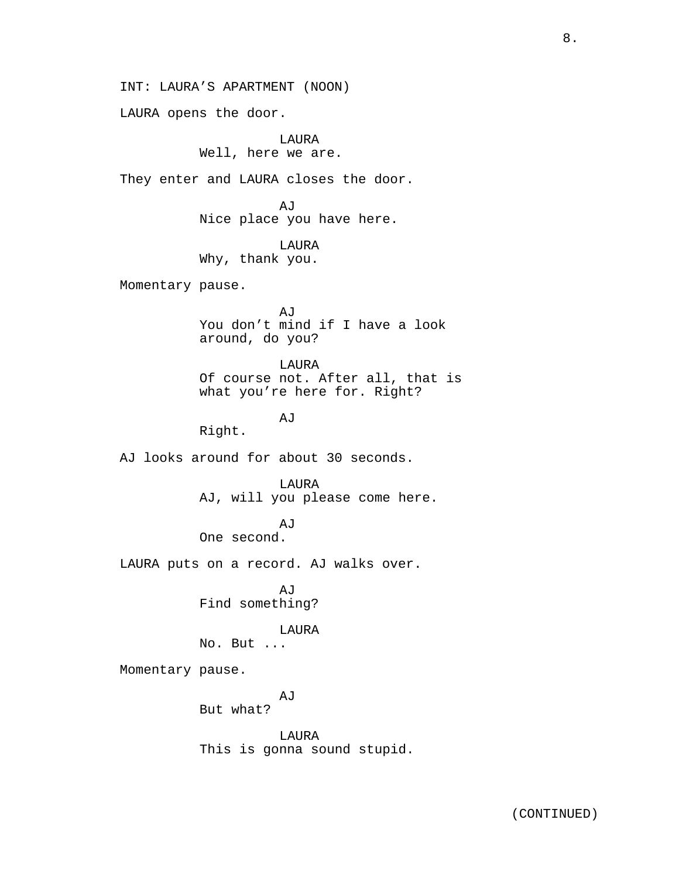INT: LAURA'S APARTMENT (NOON)

LAURA opens the door.

LAURA Well, here we are.

They enter and LAURA closes the door.

AJ Nice place you have here.

LAURA Why, thank you.

Momentary pause.

AJ You don't mind if I have a look around, do you?

LAURA Of course not. After all, that is what you're here for. Right?

AJ

Right.

AJ looks around for about 30 seconds.

LAURA

AJ, will you please come here.

AJ

One second.

LAURA puts on a record. AJ walks over.

AJ Find something?

### LAURA

No. But ...

Momentary pause.

AJ

But what?

LAURA This is gonna sound stupid.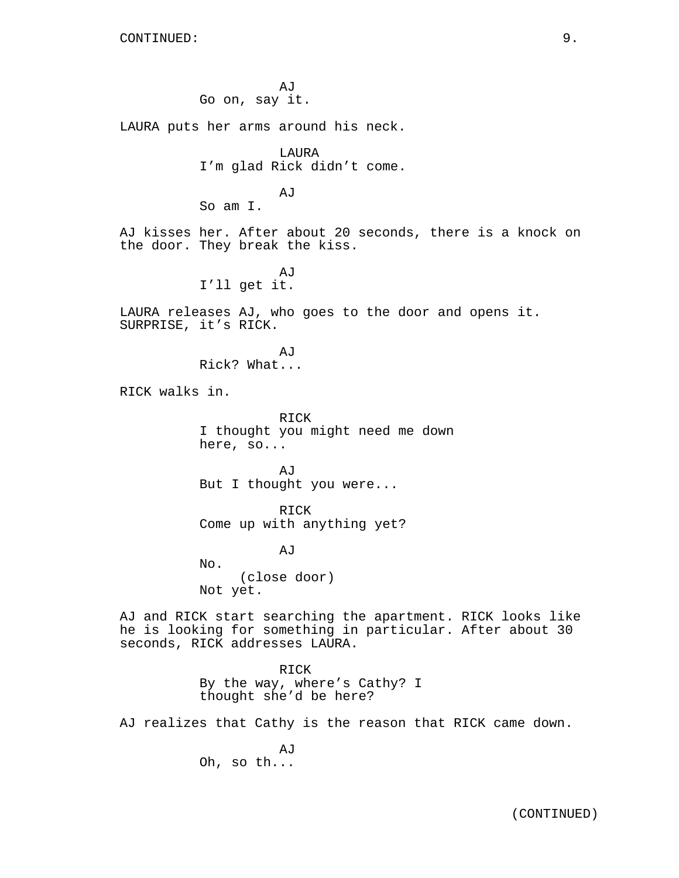AJ Go on, say it.

LAURA puts her arms around his neck.

LAURA I'm glad Rick didn't come.

AJ So am I.

AJ kisses her. After about 20 seconds, there is a knock on the door. They break the kiss.

> AJ I'll get it.

LAURA releases AJ, who goes to the door and opens it. SURPRISE, it's RICK.

> A<sub>I</sub>T Rick? What...

RICK walks in.

RICK I thought you might need me down here, so...

AJ But I thought you were...

RICK Come up with anything yet?

AJ

No. (close door) Not yet.

AJ and RICK start searching the apartment. RICK looks like he is looking for something in particular. After about 30 seconds, RICK addresses LAURA.

> RICK By the way, where's Cathy? I thought she'd be here?

AJ realizes that Cathy is the reason that RICK came down.

**AJ** Oh, so th...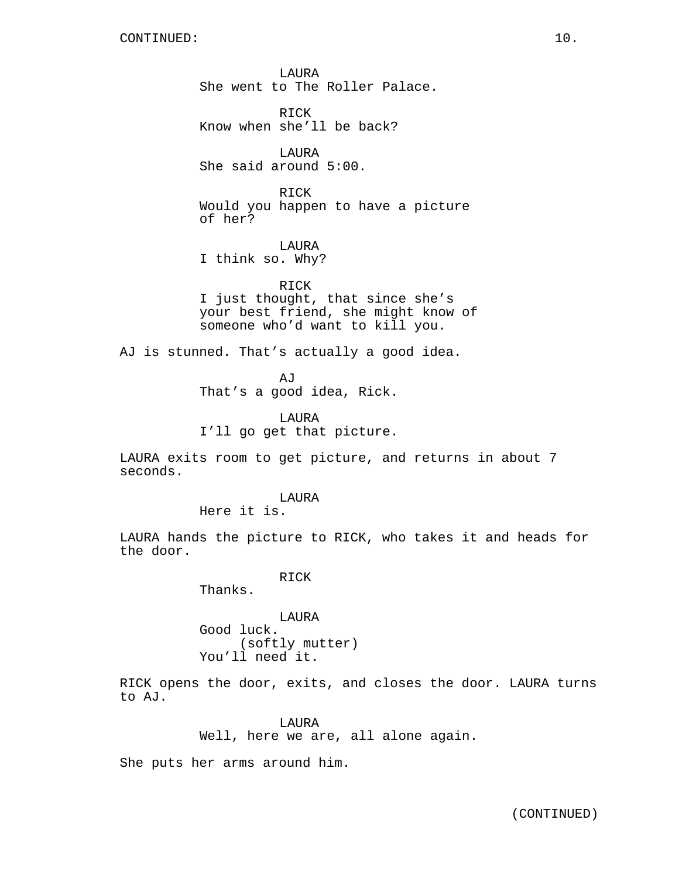LAURA She went to The Roller Palace.

RICK Know when she'll be back?

LAURA She said around 5:00.

RICK Would you happen to have a picture of her?

**LAURA** I think so. Why?

RICK I just thought, that since she's your best friend, she might know of someone who'd want to kill you.

AJ is stunned. That's actually a good idea.

AJ That's a good idea, Rick.

LAURA I'll go get that picture.

LAURA exits room to get picture, and returns in about 7 seconds.

LAURA

Here it is.

LAURA hands the picture to RICK, who takes it and heads for the door.

RICK

Thanks.

LAURA Good luck. (softly mutter) You'll need it.

RICK opens the door, exits, and closes the door. LAURA turns to AJ.

> LAURA Well, here we are, all alone again.

She puts her arms around him.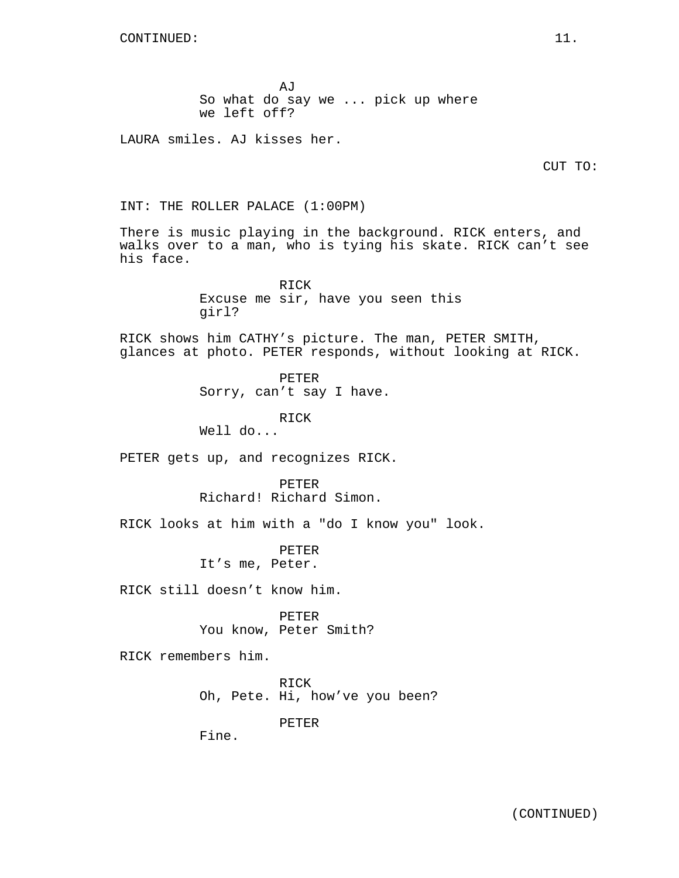AJ So what do say we ... pick up where we left off?

LAURA smiles. AJ kisses her.

CUT TO:

INT: THE ROLLER PALACE (1:00PM)

There is music playing in the background. RICK enters, and walks over to a man, who is tying his skate. RICK can't see his face.

> RICK Excuse me sir, have you seen this girl?

RICK shows him CATHY's picture. The man, PETER SMITH, glances at photo. PETER responds, without looking at RICK.

> PETER Sorry, can't say I have.

> > RICK

Well do...

PETER gets up, and recognizes RICK.

PETER Richard! Richard Simon.

RICK looks at him with a "do I know you" look.

PETER It's me, Peter.

RICK still doesn't know him.

PETER You know, Peter Smith?

RICK remembers him.

RICK Oh, Pete. Hi, how've you been?

PETER

Fine.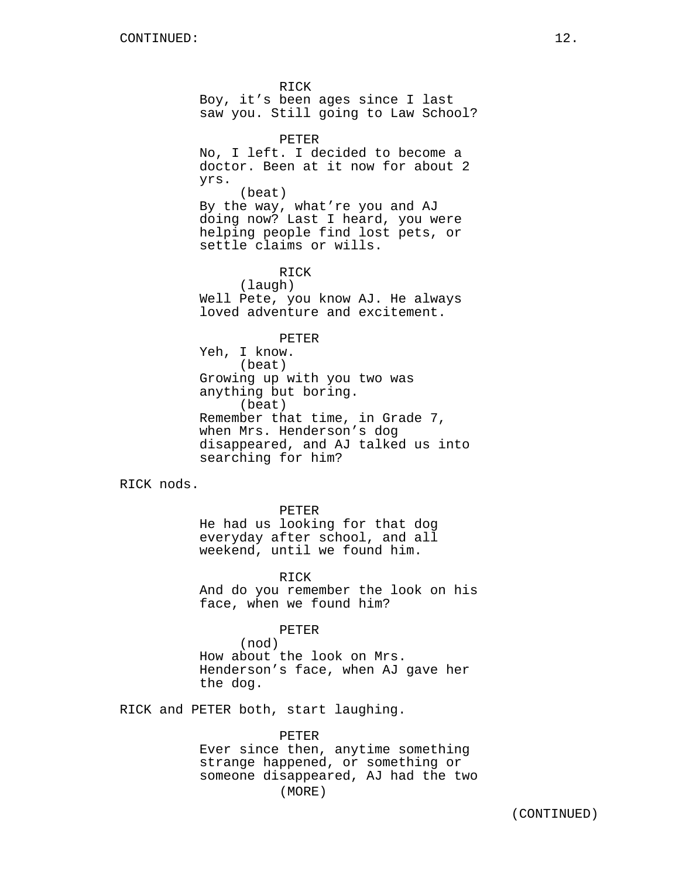RICK Boy, it's been ages since I last saw you. Still going to Law School?

PETER No, I left. I decided to become a doctor. Been at it now for about 2 yrs. (beat) By the way, what're you and AJ doing now? Last I heard, you were helping people find lost pets, or settle claims or wills.

RICK (laugh) Well Pete, you know AJ. He always loved adventure and excitement.

PETER

Yeh, I know. (beat) Growing up with you two was anything but boring. (beat) Remember that time, in Grade 7, when Mrs. Henderson's dog disappeared, and AJ talked us into searching for him?

RICK nods.

PETER He had us looking for that dog everyday after school, and all weekend, until we found him.

RICK And do you remember the look on his face, when we found him?

PETER

(nod) How about the look on Mrs. Henderson's face, when AJ gave her the dog.

RICK and PETER both, start laughing.

PETER Ever since then, anytime something strange happened, or something or someone disappeared, AJ had the two (MORE)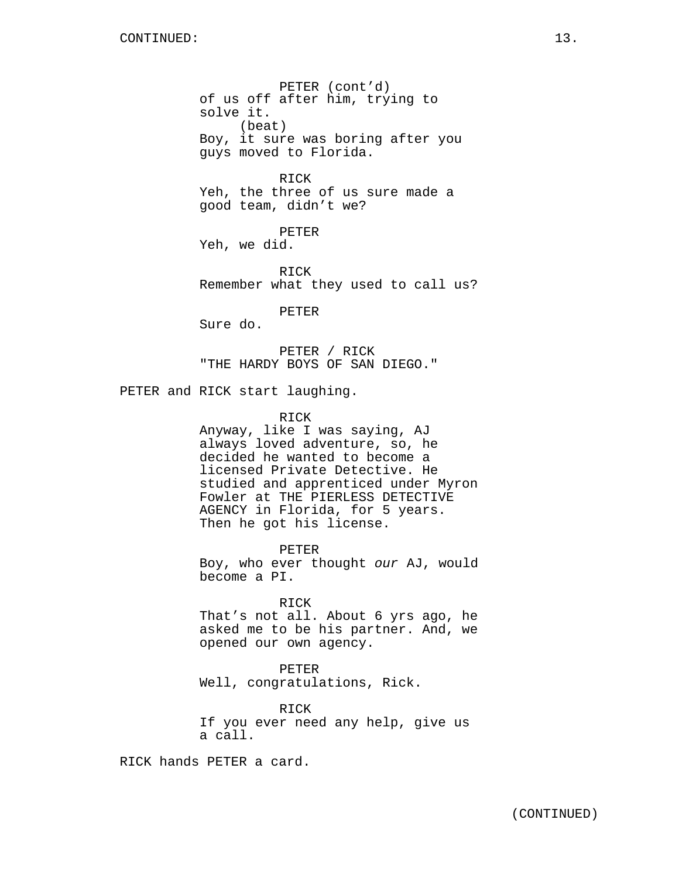PETER (cont'd) of us off after him, trying to solve it. (beat) Boy, it sure was boring after you guys moved to Florida.

RICK Yeh, the three of us sure made a good team, didn't we?

PETER Yeh, we did.

RICK Remember what they used to call us?

PETER

Sure do.

PETER / RICK "THE HARDY BOYS OF SAN DIEGO."

PETER and RICK start laughing.

#### RICK

Anyway, like I was saying, AJ always loved adventure, so, he decided he wanted to become a licensed Private Detective. He studied and apprenticed under Myron Fowler at THE PIERLESS DETECTIVE AGENCY in Florida, for 5 years. Then he got his license.

PETER Boy, who ever thought our AJ, would become a PI.

RICK

That's not all. About 6 yrs ago, he asked me to be his partner. And, we opened our own agency.

PETER

Well, congratulations, Rick.

RICK If you ever need any help, give us a call.

RICK hands PETER a card.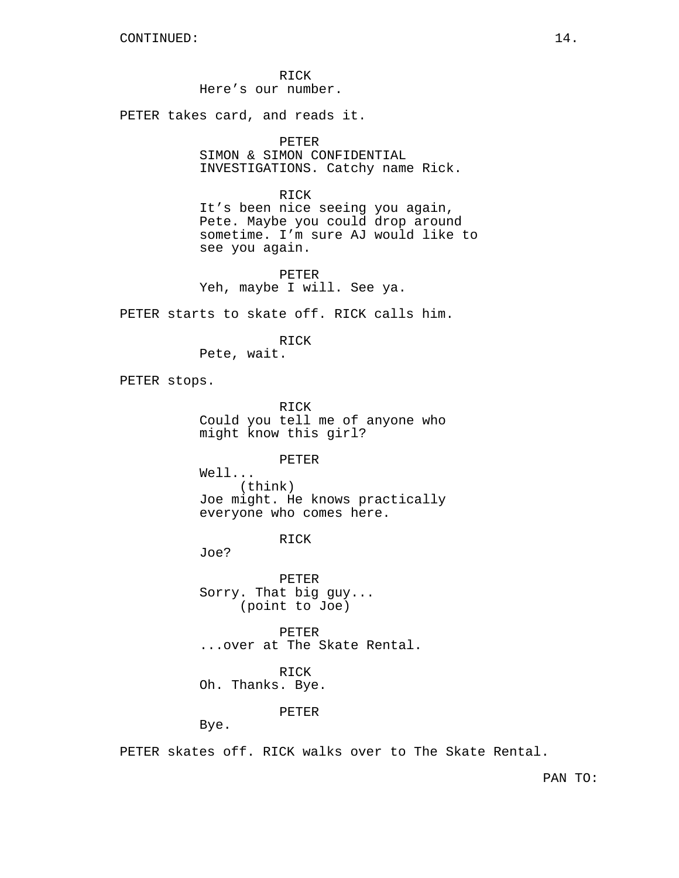RICK Here's our number.

PETER takes card, and reads it.

PETER

SIMON & SIMON CONFIDENTIAL INVESTIGATIONS. Catchy name Rick.

RICK

It's been nice seeing you again, Pete. Maybe you could drop around sometime. I'm sure AJ would like to see you again.

PETER Yeh, maybe I will. See ya.

PETER starts to skate off. RICK calls him.

RICK

Pete, wait.

PETER stops.

RICK Could you tell me of anyone who might know this girl?

PETER

Well... (think) Joe might. He knows practically everyone who comes here.

RICK

Joe?

PETER Sorry. That big guy... (point to Joe)

PETER ...over at The Skate Rental.

RICK

Oh. Thanks. Bye.

PETER

Bye.

PETER skates off. RICK walks over to The Skate Rental.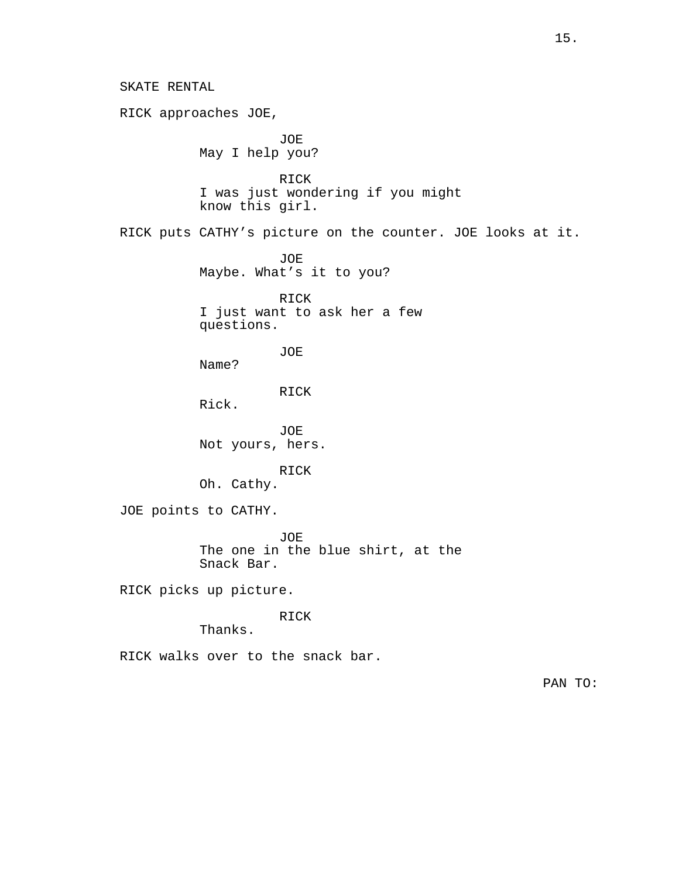SKATE RENTAL RICK approaches JOE, JOE May I help you? RICK I was just wondering if you might know this girl. RICK puts CATHY's picture on the counter. JOE looks at it. JOE Maybe. What's it to you? RICK I just want to ask her a few questions. JOE Name? RICK Rick. JOE Not yours, hers. RICK Oh. Cathy. JOE points to CATHY. JOE The one in the blue shirt, at the Snack Bar. RICK picks up picture. RICK Thanks. RICK walks over to the snack bar. PAN TO: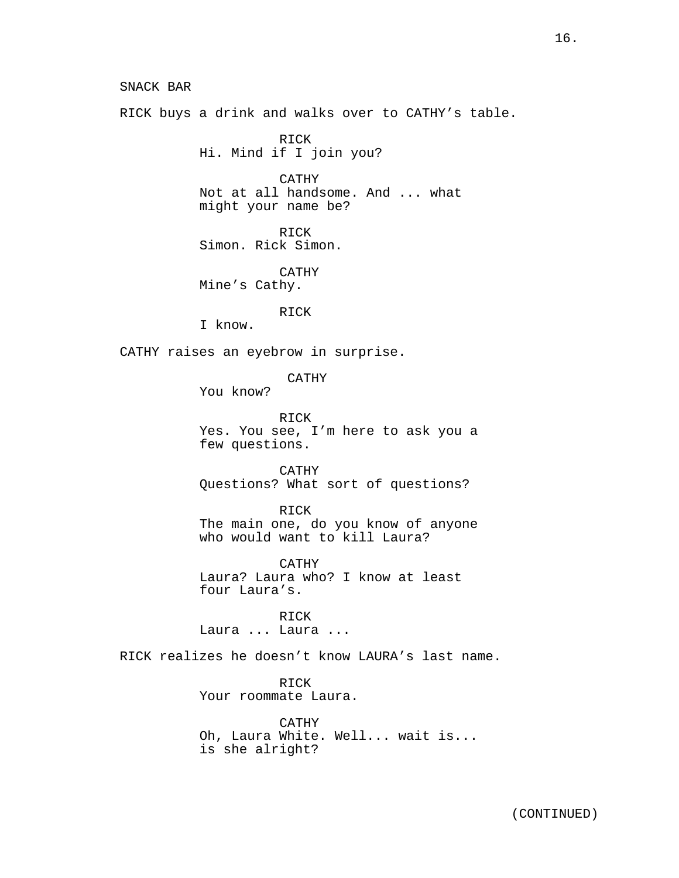SNACK BAR RICK buys a drink and walks over to CATHY's table. RICK Hi. Mind if I join you? CATHY Not at all handsome. And ... what might your name be? RICK Simon. Rick Simon. CATHY Mine's Cathy. RICK I know. CATHY raises an eyebrow in surprise. CATHY You know? RICK Yes. You see, I'm here to ask you a few questions. CATHY Questions? What sort of questions? RICK The main one, do you know of anyone who would want to kill Laura? CATHY Laura? Laura who? I know at least

four Laura's. RICK

Laura ... Laura ...

RICK realizes he doesn't know LAURA's last name.

RICK Your roommate Laura.

CATHY Oh, Laura White. Well... wait is... is she alright?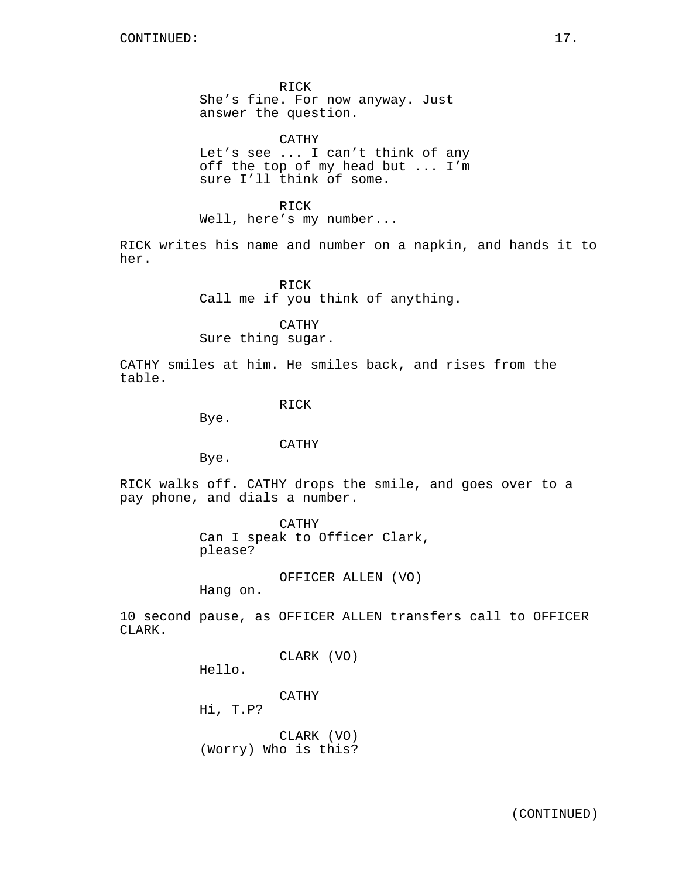RICK She's fine. For now anyway. Just answer the question.

CATHY Let's see ... I can't think of any off the top of my head but ... I'm sure I'll think of some.

RICK Well, here's my number...

RICK writes his name and number on a napkin, and hands it to her.

> RICK Call me if you think of anything.

> > CATHY

Sure thing sugar.

CATHY smiles at him. He smiles back, and rises from the table.

RICK

Bye.

### CATHY

Bye.

RICK walks off. CATHY drops the smile, and goes over to a pay phone, and dials a number.

> CATHY Can I speak to Officer Clark, please?

> > OFFICER ALLEN (VO)

Hang on.

10 second pause, as OFFICER ALLEN transfers call to OFFICER CLARK.

CLARK (VO)

Hello.

CATHY

Hi, T.P?

CLARK (VO) (Worry) Who is this?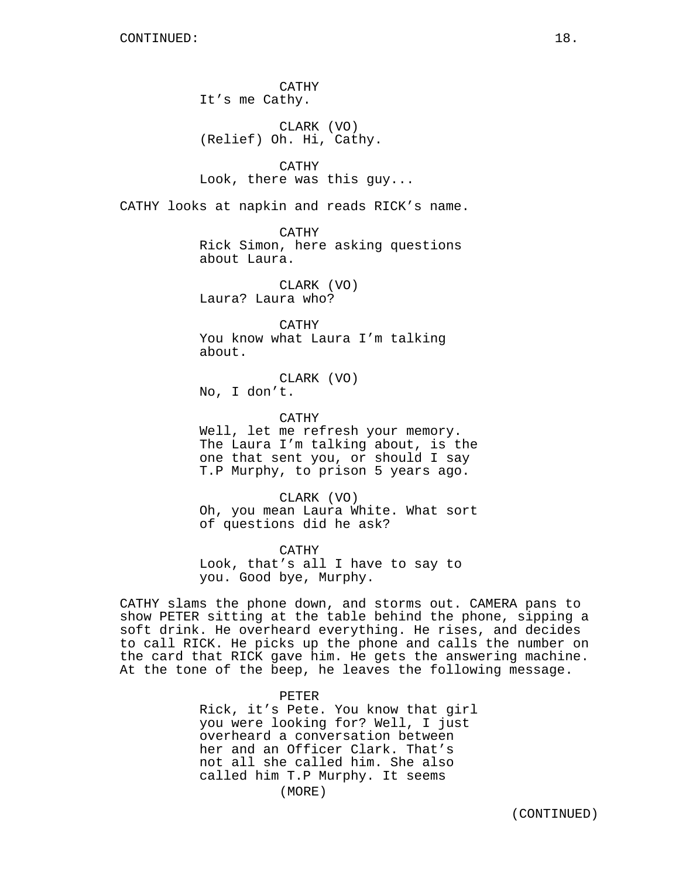CATHY It's me Cathy.

CLARK (VO) (Relief) Oh. Hi, Cathy.

CATHY Look, there was this guy...

CATHY looks at napkin and reads RICK's name.

CATHY Rick Simon, here asking questions about Laura.

CLARK (VO) Laura? Laura who?

CATHY You know what Laura I'm talking about.

CLARK (VO) No, I don't.

CATHY

Well, let me refresh your memory. The Laura I'm talking about, is the one that sent you, or should I say T.P Murphy, to prison 5 years ago.

CLARK (VO) Oh, you mean Laura White. What sort of questions did he ask?

CATHY Look, that's all I have to say to you. Good bye, Murphy.

CATHY slams the phone down, and storms out. CAMERA pans to show PETER sitting at the table behind the phone, sipping a soft drink. He overheard everything. He rises, and decides to call RICK. He picks up the phone and calls the number on the card that RICK gave him. He gets the answering machine. At the tone of the beep, he leaves the following message.

PETER

Rick, it's Pete. You know that girl you were looking for? Well, I just overheard a conversation between her and an Officer Clark. That's not all she called him. She also called him T.P Murphy. It seems (MORE)

(CONTINUED)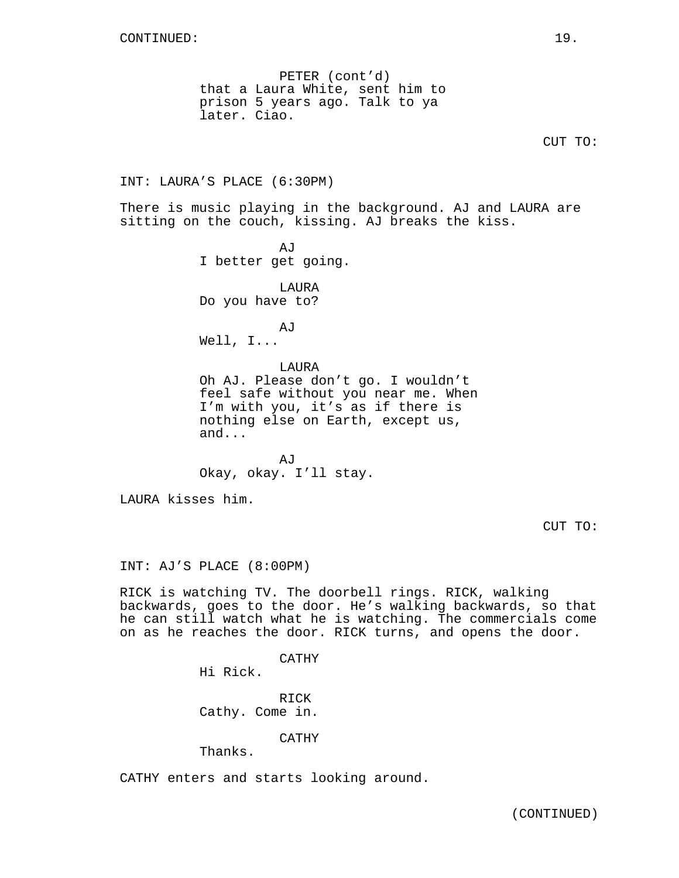PETER (cont'd) that a Laura White, sent him to prison 5 years ago. Talk to ya later. Ciao.

CUT TO:

INT: LAURA'S PLACE (6:30PM)

There is music playing in the background. AJ and LAURA are sitting on the couch, kissing. AJ breaks the kiss.

> AJ I better get going. LAURA Do you have to? AJ Well, I... LAURA Oh AJ. Please don't go. I wouldn't feel safe without you near me. When I'm with you, it's as if there is nothing else on Earth, except us, and...

 $A,T$ Okay, okay. I'll stay.

LAURA kisses him.

CUT TO:

INT: AJ'S PLACE (8:00PM)

RICK is watching TV. The doorbell rings. RICK, walking backwards, goes to the door. He's walking backwards, so that he can still watch what he is watching. The commercials come on as he reaches the door. RICK turns, and opens the door.

CATHY

Hi Rick.

RICK Cathy. Come in.

CATHY

Thanks.

CATHY enters and starts looking around.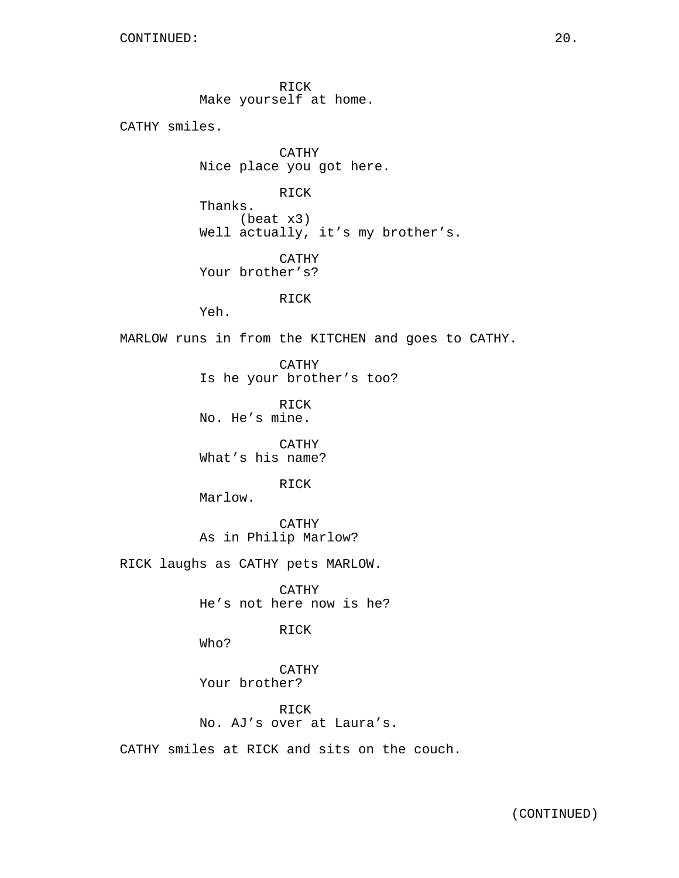RICK Make yourself at home.

CATHY smiles.

CATHY Nice place you got here.

RICK

Thanks. (beat x3) Well actually, it's my brother's.

CATHY Your brother's?

RICK

Yeh.

MARLOW runs in from the KITCHEN and goes to CATHY.

CATHY Is he your brother's too?

RICK No. He's mine.

CATHY What's his name?

RICK

Marlow.

CATHY As in Philip Marlow?

RICK laughs as CATHY pets MARLOW.

CATHY He's not here now is he?

RICK

Who?

CATHY Your brother?

RICK No. AJ's over at Laura's.

CATHY smiles at RICK and sits on the couch.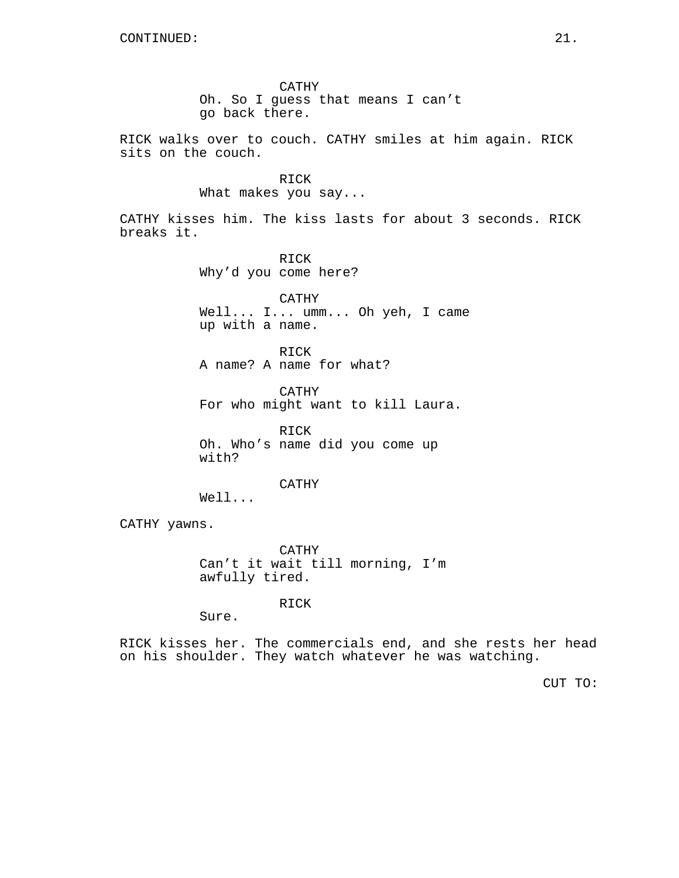CATHY Oh. So I guess that means I can't go back there.

RICK walks over to couch. CATHY smiles at him again. RICK sits on the couch.

> RICK What makes you say...

CATHY kisses him. The kiss lasts for about 3 seconds. RICK breaks it.

> RICK Why'd you come here?

CATHY Well... I... umm... Oh yeh, I came up with a name.

RICK A name? A name for what?

CATHY For who might want to kill Laura.

RICK Oh. Who's name did you come up with?

CATHY

Well...

CATHY yawns.

CATHY Can't it wait till morning, I'm awfully tired.

RICK

Sure.

RICK kisses her. The commercials end, and she rests her head on his shoulder. They watch whatever he was watching.

CUT TO: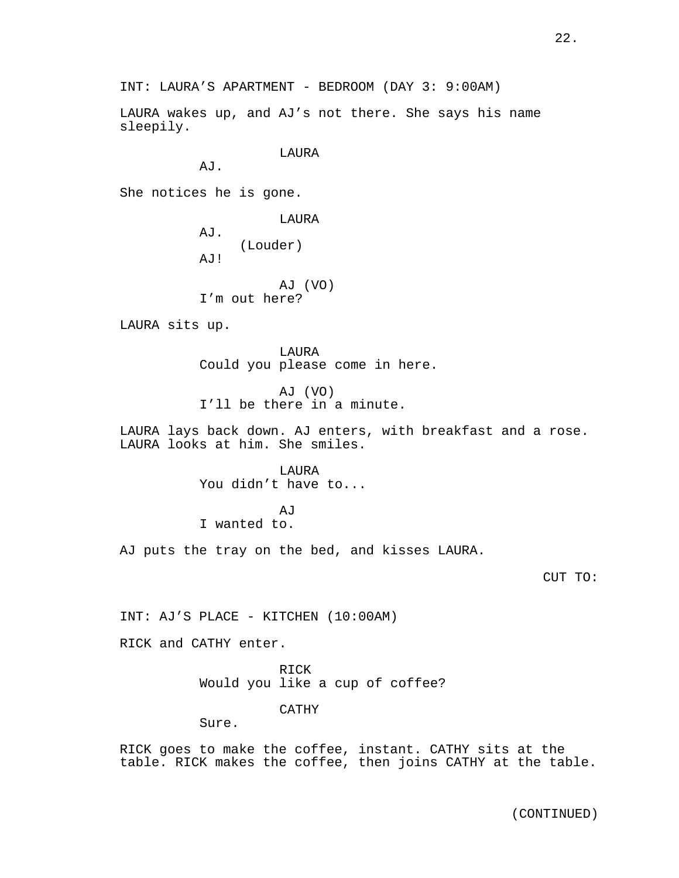INT: LAURA'S APARTMENT - BEDROOM (DAY 3: 9:00AM)

LAURA wakes up, and AJ's not there. She says his name sleepily.

LAURA

AJ.

She notices he is gone.

LAURA AJ. (Louder) AJ! AJ (VO)

I'm out here?

LAURA sits up.

LAURA Could you please come in here.

AJ (VO) I'll be there in a minute.

LAURA lays back down. AJ enters, with breakfast and a rose. LAURA looks at him. She smiles.

> LAURA You didn't have to...

**AJ** I wanted to.

AJ puts the tray on the bed, and kisses LAURA.

CUT TO:

INT: AJ'S PLACE - KITCHEN (10:00AM)

RICK and CATHY enter.

RICK Would you like a cup of coffee?

CATHY

Sure.

RICK goes to make the coffee, instant. CATHY sits at the table. RICK makes the coffee, then joins CATHY at the table.

(CONTINUED)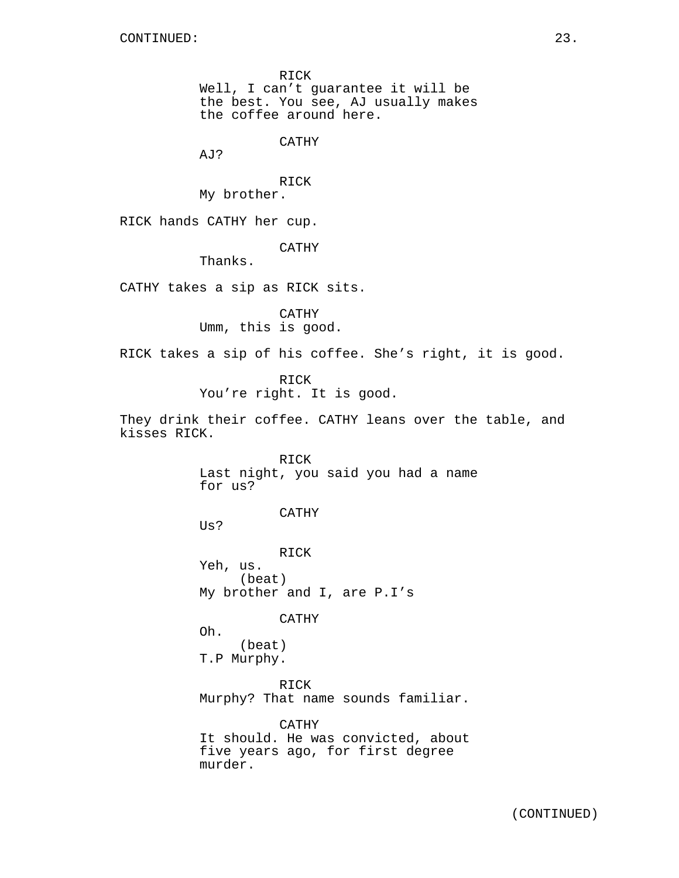RICK Well, I can't guarantee it will be the best. You see, AJ usually makes the coffee around here.

CATHY

AJ?

RICK My brother.

RICK hands CATHY her cup.

CATHY

Thanks.

CATHY takes a sip as RICK sits.

CATHY Umm, this is good.

RICK takes a sip of his coffee. She's right, it is good.

RICK

You're right. It is good.

They drink their coffee. CATHY leans over the table, and kisses RICK.

> RICK Last night, you said you had a name for us?

> > CATHY

Us?

RICK Yeh, us. (beat) My brother and I, are P.I's

### CATHY

Oh. (beat) T.P Murphy.

RICK Murphy? That name sounds familiar.

CATHY It should. He was convicted, about five years ago, for first degree murder.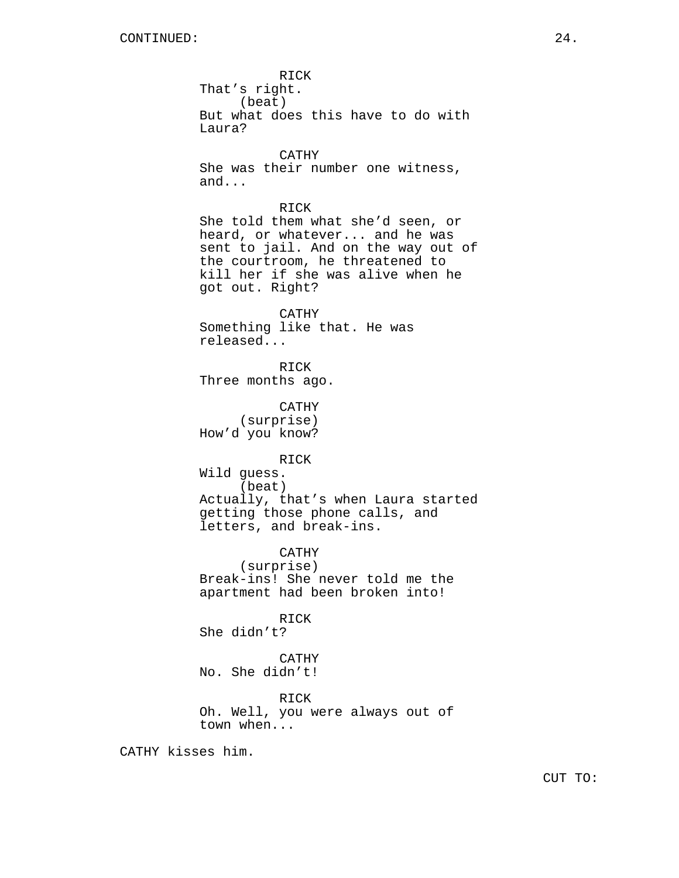RICK That's right. (beat) But what does this have to do with Laura? CATHY She was their number one witness, and... RICK She told them what she'd seen, or heard, or whatever... and he was sent to jail. And on the way out of the courtroom, he threatened to kill her if she was alive when he got out. Right? CATHY Something like that. He was released... RICK Three months ago. CATHY (surprise) How'd you know? RICK Wild guess. (beat) Actually, that's when Laura started getting those phone calls, and letters, and break-ins. CATHY (surprise) Break-ins! She never told me the apartment had been broken into! RICK She didn't? CATHY No. She didn't! RICK Oh. Well, you were always out of town when...

CATHY kisses him.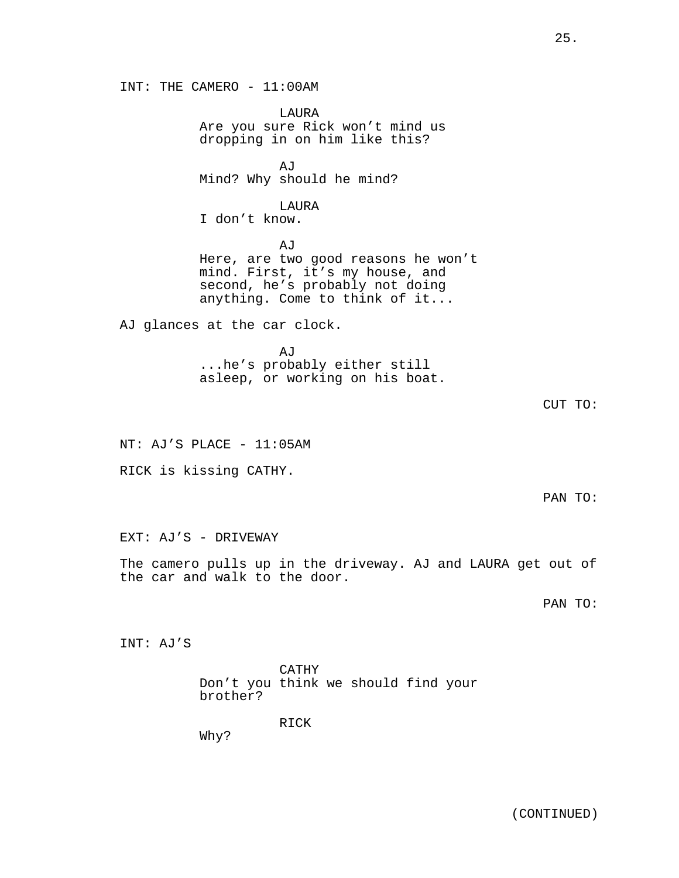INT: THE CAMERO - 11:00AM LAURA Are you sure Rick won't mind us dropping in on him like this? AJ Mind? Why should he mind? LAURA I don't know. AJ Here, are two good reasons he won't mind. First, it's my house, and second, he's probably not doing anything. Come to think of it... AJ glances at the car clock. AJ ...he's probably either still asleep, or working on his boat. NT: AJ'S PLACE - 11:05AM RICK is kissing CATHY. EXT: AJ'S - DRIVEWAY The camero pulls up in the driveway. AJ and LAURA get out of the car and walk to the door. INT: AJ'S

> CATHY Don't you think we should find your brother?

> > RICK

Why?

CUT TO:

PAN TO:

PAN TO: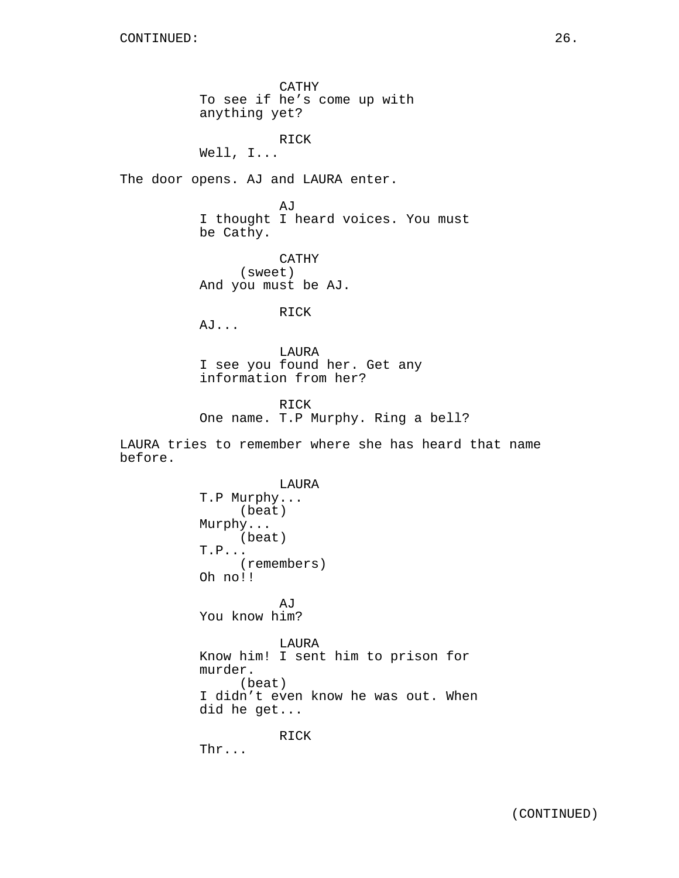CATHY To see if he's come up with anything yet? RICK Well, I... The door opens. AJ and LAURA enter. AJ I thought I heard voices. You must be Cathy. CATHY (sweet) And you must be AJ. RICK AJ... LAURA I see you found her. Get any information from her? RICK One name. T.P Murphy. Ring a bell? LAURA tries to remember where she has heard that name before. LAURA T.P Murphy... (beat) Murphy... (beat) T.P... (remembers) Oh no!! AJ You know him? LAURA Know him! I sent him to prison for murder.

(beat) I didn't even know he was out. When did he get...

RICK

Thr...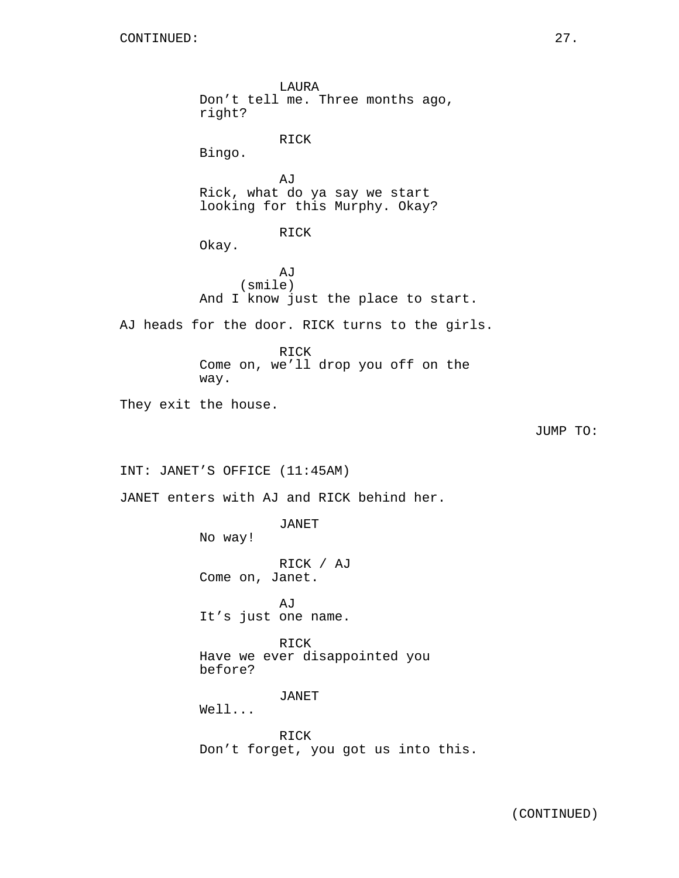LAURA Don't tell me. Three months ago, right? RICK Bingo. AJ Rick, what do ya say we start looking for this Murphy. Okay? RICK Okay. **AJ** (smile) And I know just the place to start. AJ heads for the door. RICK turns to the girls. RICK Come on, we'll drop you off on the way. They exit the house. JUMP TO: INT: JANET'S OFFICE (11:45AM) JANET enters with AJ and RICK behind her. JANET No way! RICK / AJ Come on, Janet. AJ It's just one name. RICK Have we ever disappointed you before? JANET Well... RICK Don't forget, you got us into this.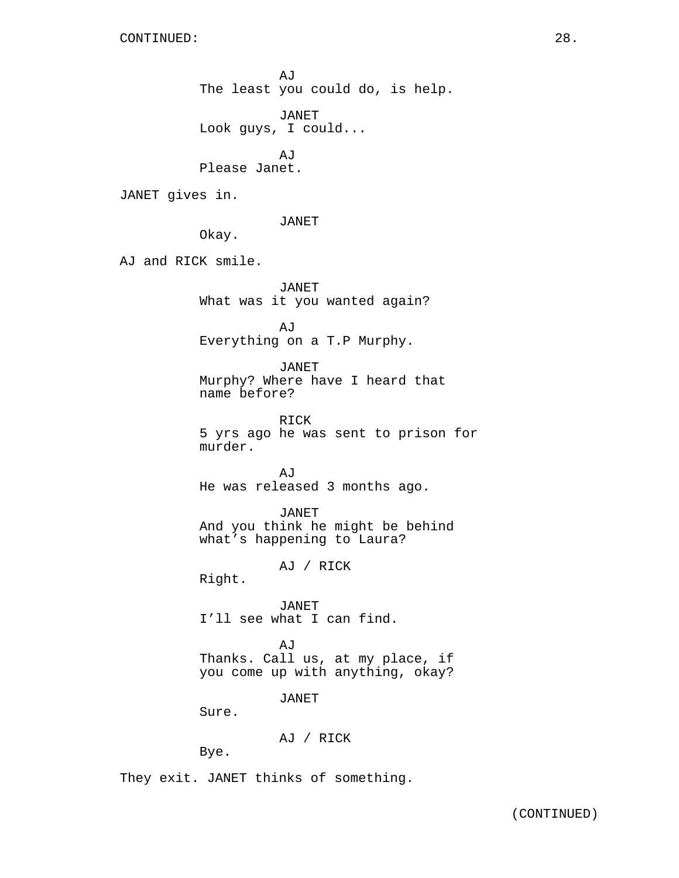AJ The least you could do, is help. JANET Look guys, I could... AJ Please Janet. JANET gives in. JANET Okay. AJ and RICK smile. JANET What was it you wanted again? AJ Everything on a T.P Murphy. JANET Murphy? Where have I heard that name before? RICK 5 yrs ago he was sent to prison for murder.

> AJ He was released 3 months ago.

JANET And you think he might be behind what's happening to Laura?

AJ / RICK

Right.

JANET I'll see what I can find.

AJ Thanks. Call us, at my place, if you come up with anything, okay?

JANET

Sure.

AJ / RICK

Bye.

They exit. JANET thinks of something.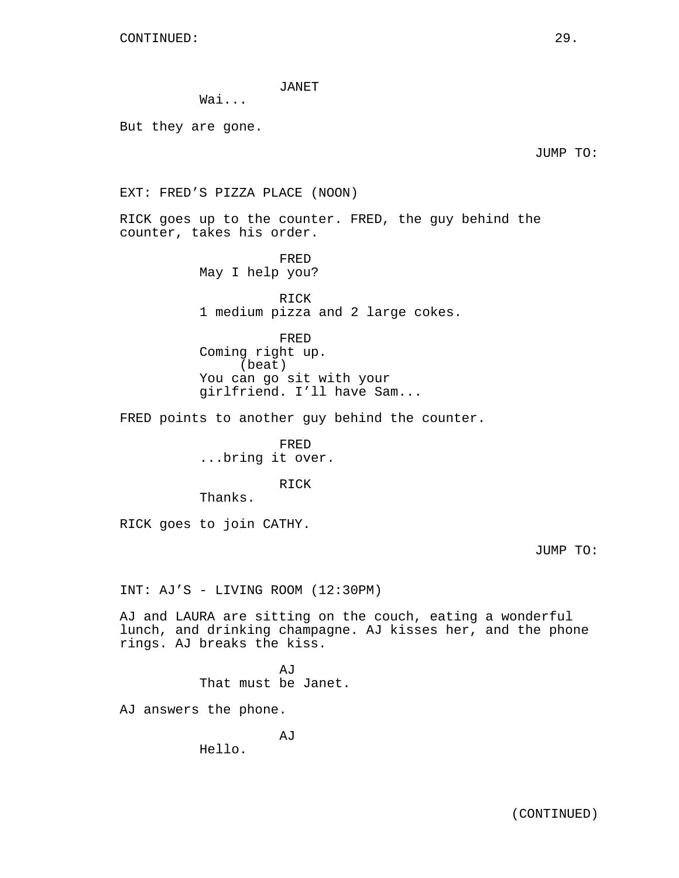JANET

Wai...

But they are gone.

JUMP TO:

EXT: FRED'S PIZZA PLACE (NOON)

RICK goes up to the counter. FRED, the guy behind the counter, takes his order.

> FRED May I help you?

RICK 1 medium pizza and 2 large cokes.

FRED Coming right up. (beat) You can go sit with your girlfriend. I'll have Sam...

FRED points to another guy behind the counter.

FRED ...bring it over.

RICK

Thanks.

RICK goes to join CATHY.

JUMP TO:

INT: AJ'S - LIVING ROOM (12:30PM)

AJ and LAURA are sitting on the couch, eating a wonderful lunch, and drinking champagne. AJ kisses her, and the phone rings. AJ breaks the kiss.

> AJ That must be Janet.

AJ answers the phone.

AJ

Hello.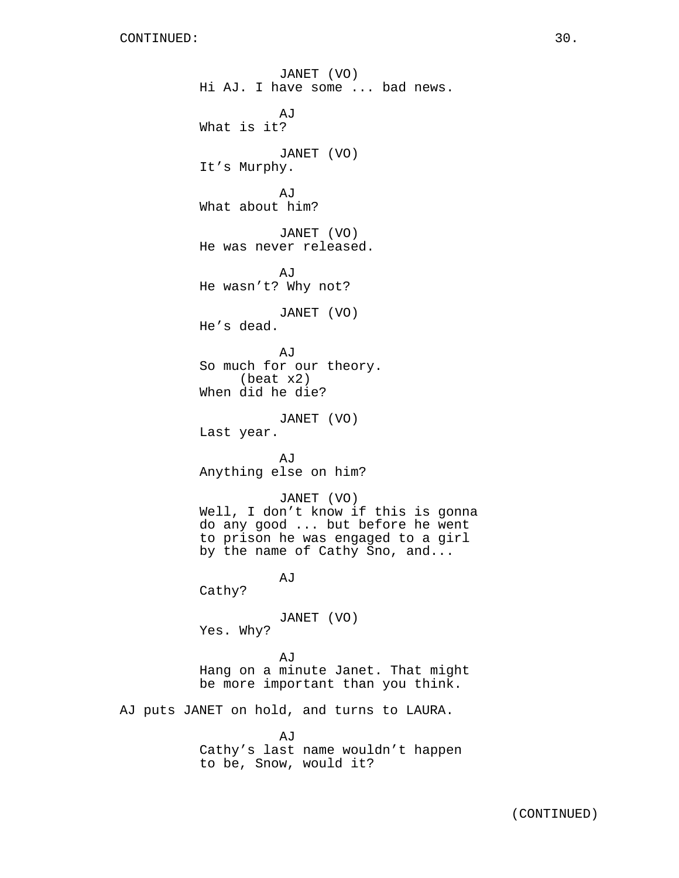JANET (VO) Hi AJ. I have some ... bad news. AJ What is it? JANET (VO) It's Murphy. AJ What about him? JANET (VO) He was never released. A<sub>I</sub>T He wasn't? Why not? JANET (VO) He's dead. AJ So much for our theory. (beat x2) When did he die? JANET (VO) Last year. AJ Anything else on him? JANET (VO) Well, I don't know if this is gonna do any good ... but before he went to prison he was engaged to a girl by the name of Cathy Sno, and... AJ Cathy? JANET (VO) Yes. Why? AJ Hang on a minute Janet. That might be more important than you think. AJ puts JANET on hold, and turns to LAURA. AJ

Cathy's last name wouldn't happen to be, Snow, would it?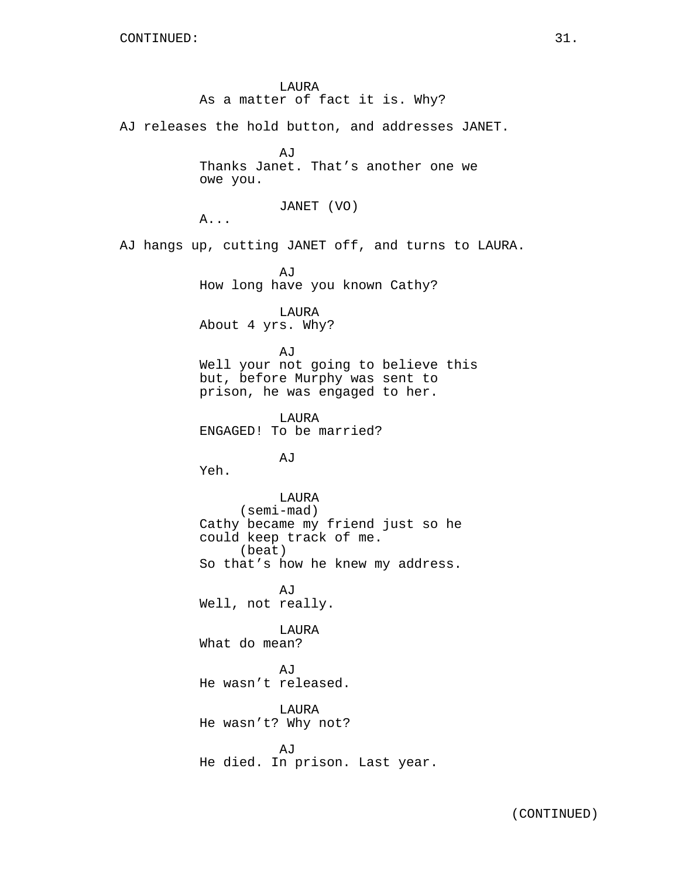LAURA As a matter of fact it is. Why? AJ releases the hold button, and addresses JANET. **A**<sub>I</sub> Thanks Janet. That's another one we owe you. JANET (VO) A... AJ hangs up, cutting JANET off, and turns to LAURA. AJ How long have you known Cathy? LAURA About 4 yrs. Why? AJ Well your not going to believe this but, before Murphy was sent to prison, he was engaged to her. LAURA ENGAGED! To be married? AJ Yeh. LAURA (semi-mad) Cathy became my friend just so he could keep track of me. (beat) So that's how he knew my address. AJ Well, not really. LAURA What do mean? AJ He wasn't released. LAURA He wasn't? Why not? **AJ** He died. In prison. Last year.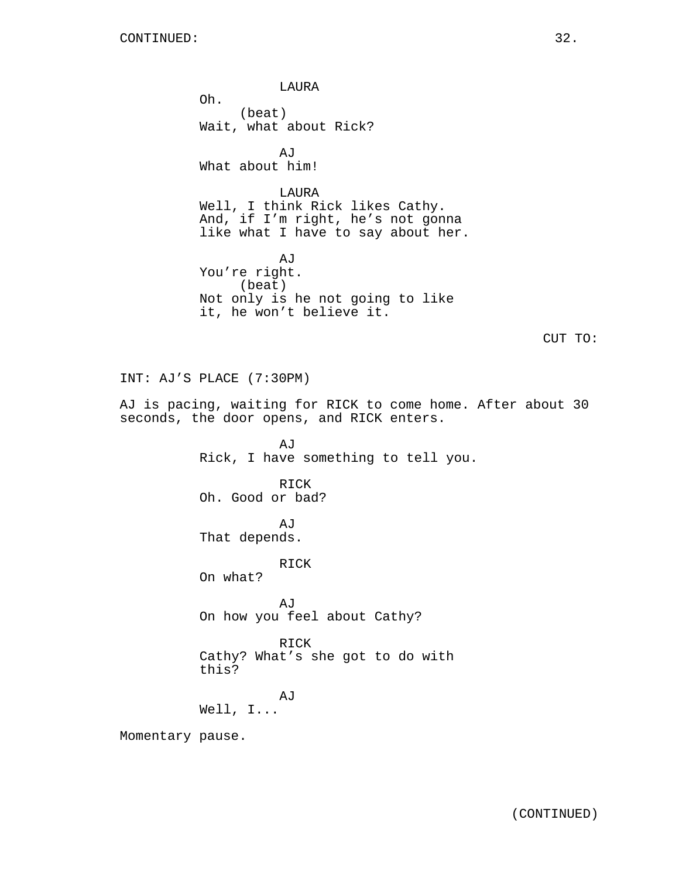LAURA Oh. (beat) Wait, what about Rick? AJ What about him! LAURA Well, I think Rick likes Cathy. And, if I'm right, he's not gonna like what I have to say about her. AJ You're right. (beat) Not only is he not going to like it, he won't believe it. CUT TO: INT: AJ'S PLACE (7:30PM) AJ is pacing, waiting for RICK to come home. After about 30 seconds, the door opens, and RICK enters. AJ Rick, I have something to tell you. RICK Oh. Good or bad? **AJ** That depends. RICK On what? AJ On how you feel about Cathy? RICK Cathy? What's she got to do with this? AJ Well, I... Momentary pause.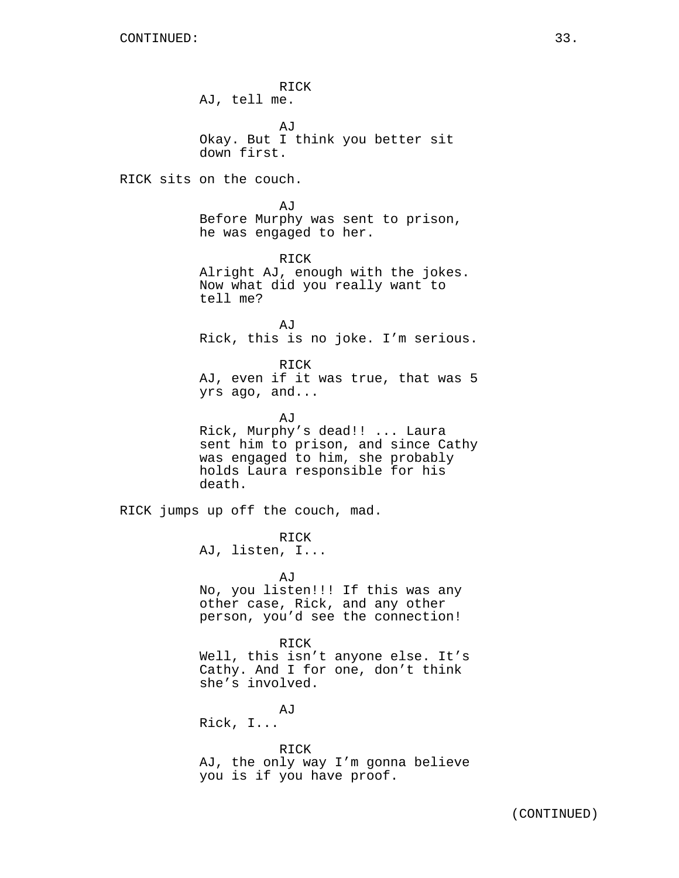RICK AJ, tell me. AJ Okay. But I think you better sit down first. RICK sits on the couch. AJ Before Murphy was sent to prison, he was engaged to her. RICK Alright AJ, enough with the jokes. Now what did you really want to tell me? AJ Rick, this is no joke. I'm serious. RICK AJ, even if it was true, that was 5 yrs ago, and... AJ Rick, Murphy's dead!! ... Laura sent him to prison, and since Cathy was engaged to him, she probably holds Laura responsible for his death. RICK jumps up off the couch, mad. RICK AJ, listen, I... AJ No, you listen!!! If this was any other case, Rick, and any other person, you'd see the connection! RICK Well, this isn't anyone else. It's Cathy. And I for one, don't think she's involved. AJ Rick, I... RICK AJ, the only way I'm gonna believe you is if you have proof.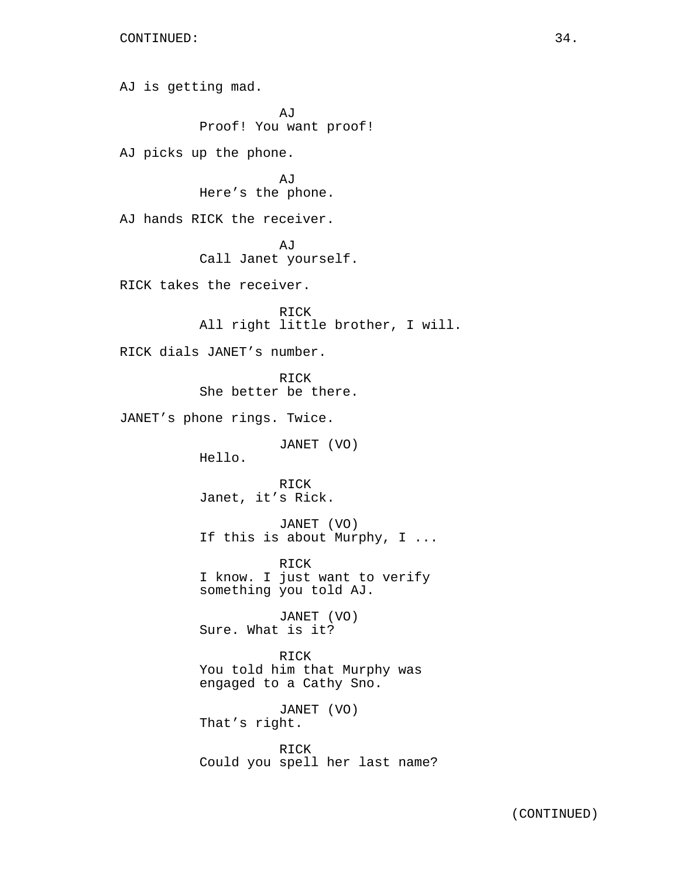AJ is getting mad. AJ Proof! You want proof! AJ picks up the phone. AJ Here's the phone. AJ hands RICK the receiver. AJ Call Janet yourself. RICK takes the receiver. RICK All right little brother, I will. RICK dials JANET's number. RICK She better be there. JANET's phone rings. Twice. JANET (VO) Hello. RICK Janet, it's Rick. JANET (VO) If this is about Murphy, I ... RICK I know. I just want to verify something you told AJ. JANET (VO) Sure. What is it? RICK You told him that Murphy was engaged to a Cathy Sno. JANET (VO) That's right. RICK Could you spell her last name?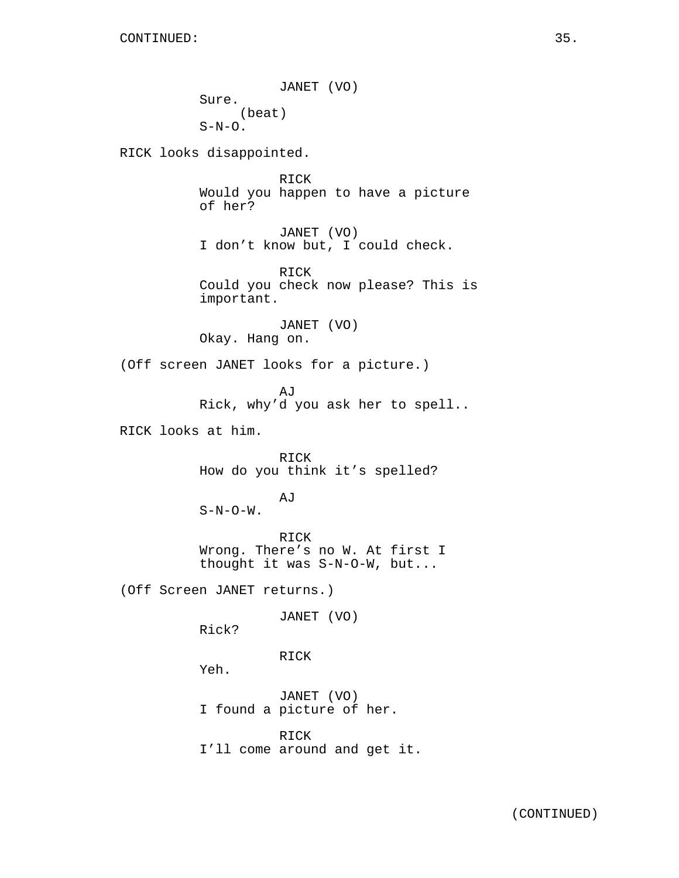JANET (VO) Sure. (beat)  $S-N-O.$ 

RICK looks disappointed.

RICK Would you happen to have a picture of her?

JANET (VO) I don't know but, I could check.

RICK Could you check now please? This is important.

JANET (VO) Okay. Hang on.

(Off screen JANET looks for a picture.)

AJ Rick, why'd you ask her to spell..

RICK looks at him.

RICK How do you think it's spelled?

# AJ

 $S-N-O-W$ .

RICK Wrong. There's no W. At first I thought it was S-N-O-W, but...

(Off Screen JANET returns.)

JANET (VO)

Rick?

RICK

Yeh.

JANET (VO) I found a picture of her.

RICK

I'll come around and get it.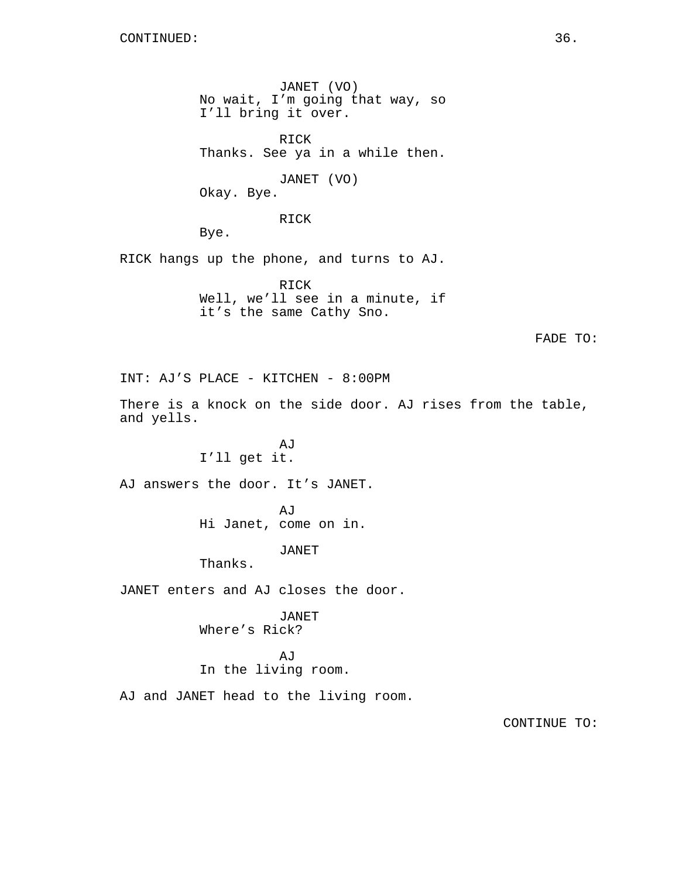JANET (VO) No wait, I'm going that way, so I'll bring it over.

RICK Thanks. See ya in a while then.

JANET (VO)

Okay. Bye.

RICK

Bye.

RICK hangs up the phone, and turns to AJ.

RICK Well, we'll see in a minute, if it's the same Cathy Sno.

FADE TO:

INT: AJ'S PLACE - KITCHEN - 8:00PM

There is a knock on the side door. AJ rises from the table, and yells.

> AJ I'll get it.

AJ answers the door. It's JANET.

AJ Hi Janet, come on in.

JANET

Thanks.

JANET enters and AJ closes the door.

JANET

Where's Rick?

AJ

In the living room.

AJ and JANET head to the living room.

CONTINUE TO: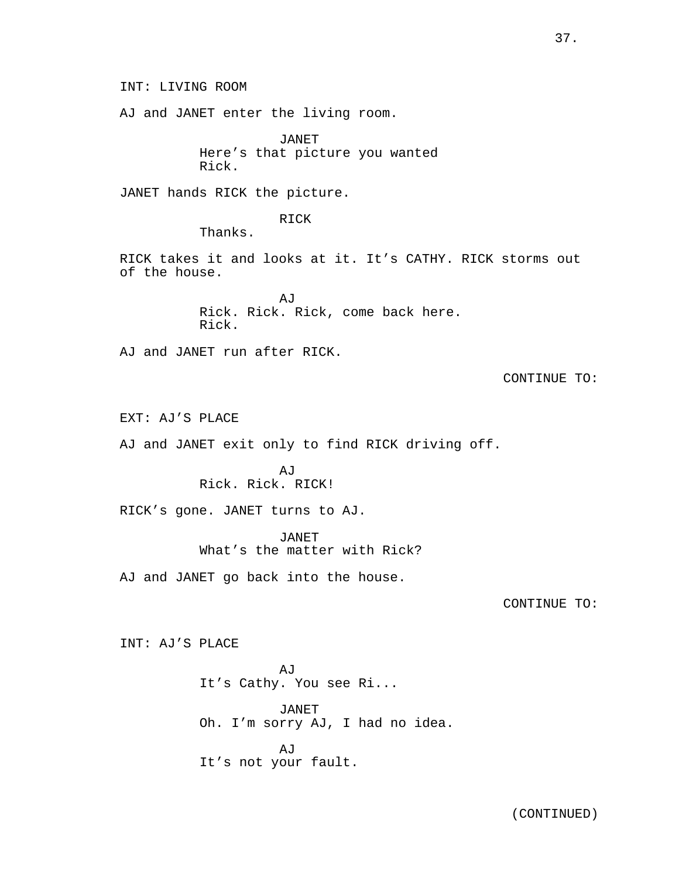AJ and JANET enter the living room.

JANET Here's that picture you wanted Rick.

JANET hands RICK the picture.

RICK

Thanks.

RICK takes it and looks at it. It's CATHY. RICK storms out of the house.

> AJ Rick. Rick. Rick, come back here. Rick.

AJ and JANET run after RICK.

CONTINUE TO:

EXT: AJ'S PLACE

AJ and JANET exit only to find RICK driving off.

AJ Rick. Rick. RICK!

RICK's gone. JANET turns to AJ.

JANET What's the matter with Rick?

AJ and JANET go back into the house.

CONTINUE TO:

INT: AJ'S PLACE

AJ It's Cathy. You see Ri...

JANET Oh. I'm sorry AJ, I had no idea.

**AJ** It's not your fault.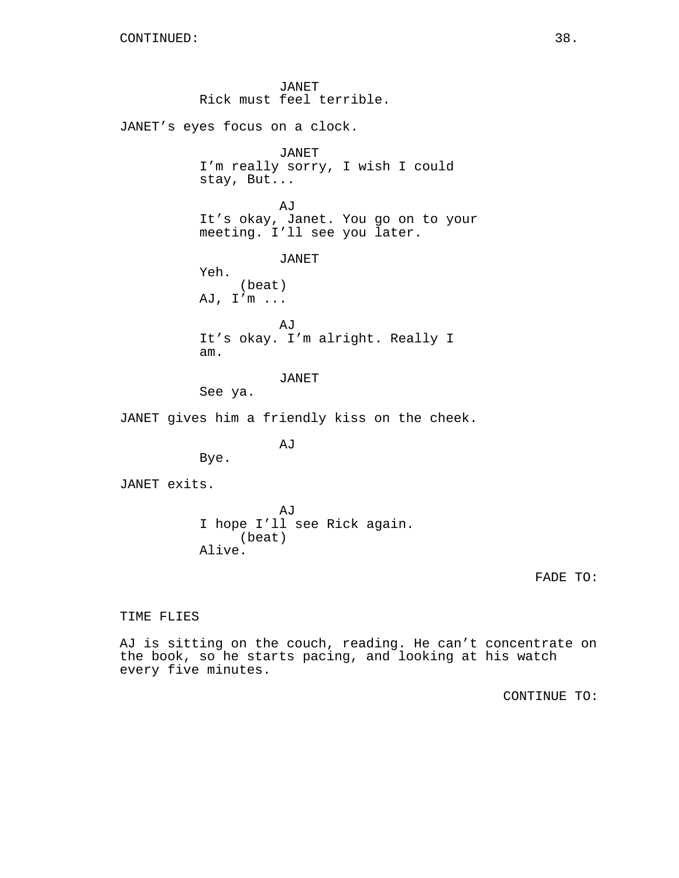JANET Rick must feel terrible. JANET's eyes focus on a clock. JANET I'm really sorry, I wish I could stay, But... AJ It's okay, Janet. You go on to your meeting. I'll see you later. JANET Yeh. (beat) AJ, I'm ... AJ It's okay. I'm alright. Really I am. JANET See ya. JANET gives him a friendly kiss on the cheek. AJ Bye. JANET exits. AJ I hope I'll see Rick again.

(beat)

Alive.

FADE TO:

TIME FLIES

AJ is sitting on the couch, reading. He can't concentrate on the book, so he starts pacing, and looking at his watch every five minutes.

CONTINUE TO: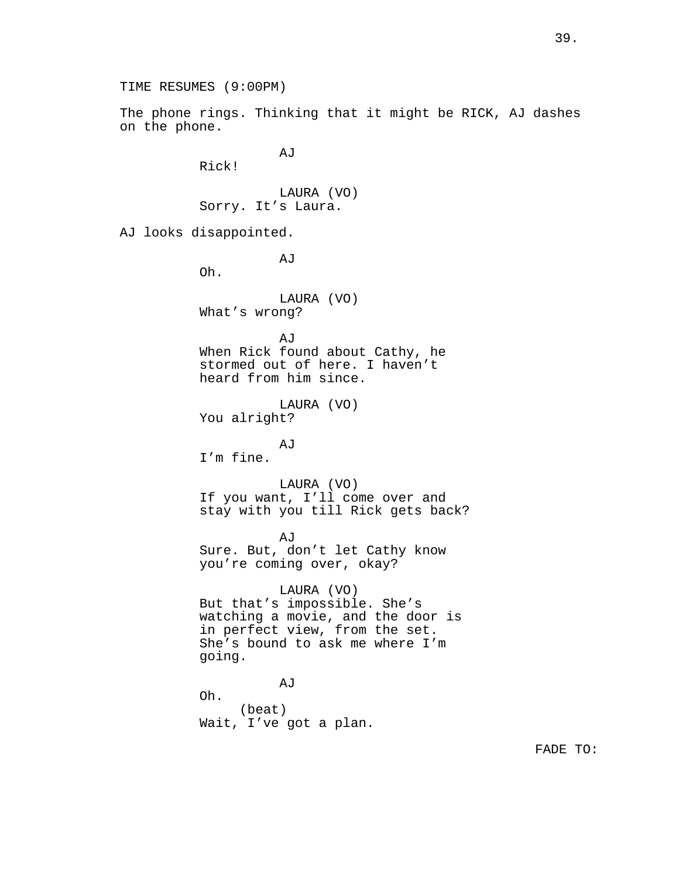TIME RESUMES (9:00PM)

The phone rings. Thinking that it might be RICK, AJ dashes on the phone.

AJ

Rick!

LAURA (VO) Sorry. It's Laura.

AJ looks disappointed.

AJ

Oh.

LAURA (VO) What's wrong?

AJ

When Rick found about Cathy, he stormed out of here. I haven't heard from him since.

LAURA (VO) You alright?

AJ I'm fine.

LAURA (VO)

If you want, I'll come over and stay with you till Rick gets back?

AJ Sure. But, don't let Cathy know you're coming over, okay?

LAURA (VO) But that's impossible. She's watching a movie, and the door is in perfect view, from the set. She's bound to ask me where I'm going.

AJ Oh. (beat) Wait, I've got a plan.

FADE TO: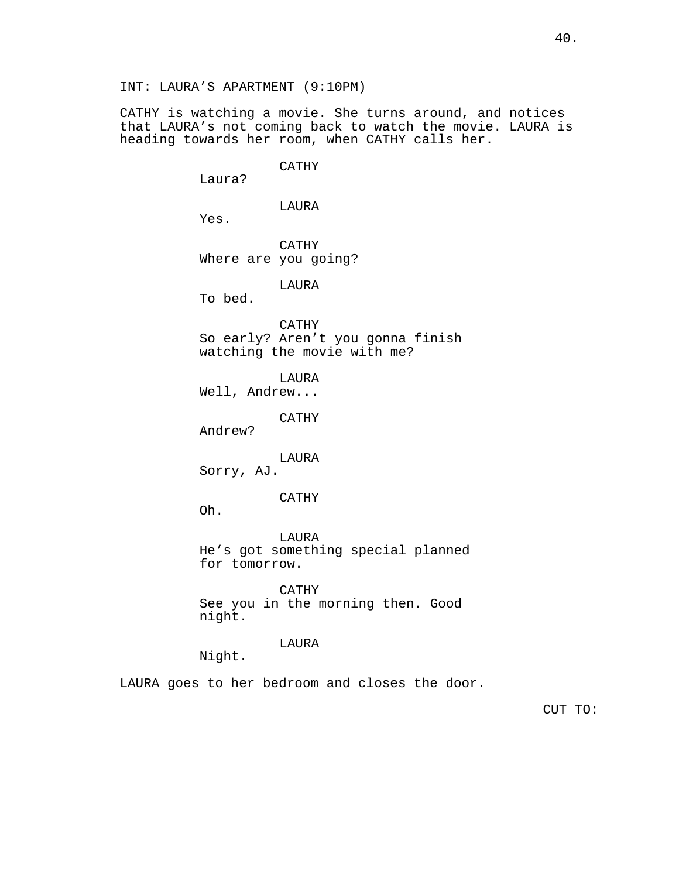CATHY is watching a movie. She turns around, and notices that LAURA's not coming back to watch the movie. LAURA is heading towards her room, when CATHY calls her.

> CATHY Laura? LAURA Yes. CATHY Where are you going? LAURA To bed. CATHY So early? Aren't you gonna finish watching the movie with me? LAURA Well, Andrew... CATHY Andrew? LAURA Sorry, AJ. CATHY Oh. LAURA He's got something special planned for tomorrow. CATHY See you in the morning then. Good night. LAURA Night.

LAURA goes to her bedroom and closes the door.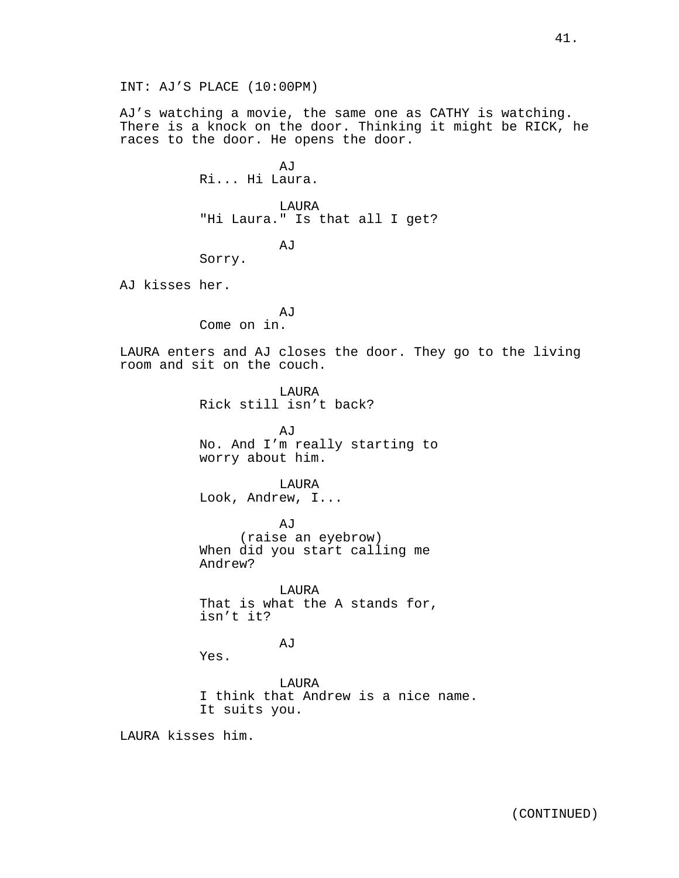INT: AJ'S PLACE (10:00PM)

AJ's watching a movie, the same one as CATHY is watching. There is a knock on the door. Thinking it might be RICK, he races to the door. He opens the door.

> AJ Ri... Hi Laura.

LAURA "Hi Laura." Is that all I get?

AJ

Sorry.

AJ kisses her.

AJ Come on in.

LAURA enters and AJ closes the door. They go to the living room and sit on the couch.

> LAURA Rick still isn't back?

AJ No. And I'm really starting to worry about him.

LAURA Look, Andrew, I...

AJ (raise an eyebrow) When did you start calling me Andrew?

LAURA That is what the A stands for, isn't it?

#### AJ

Yes.

LAURA I think that Andrew is a nice name. It suits you.

LAURA kisses him.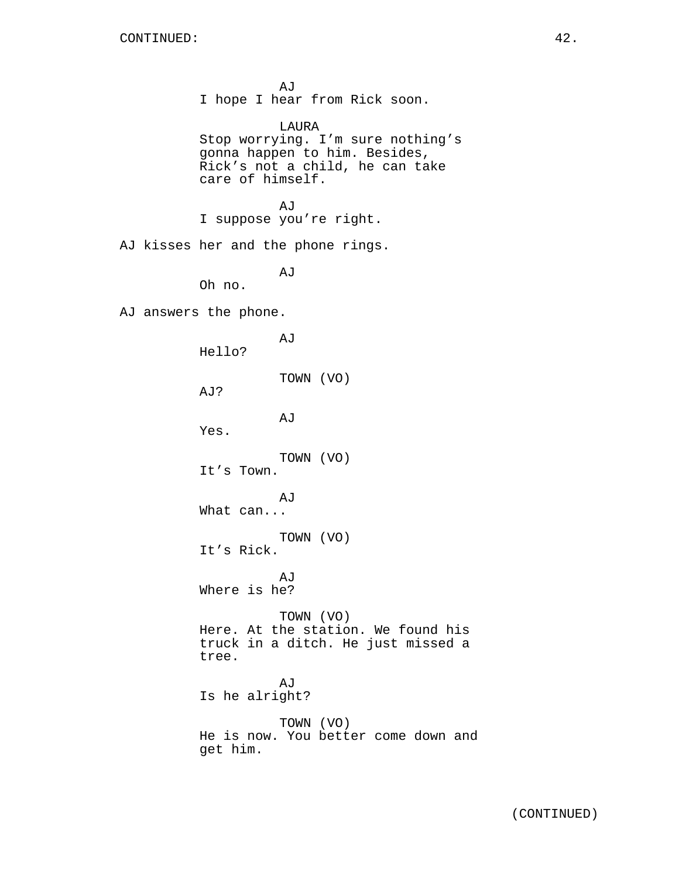AJ I hope I hear from Rick soon. LAURA Stop worrying. I'm sure nothing's gonna happen to him. Besides, Rick's not a child, he can take care of himself. AJ I suppose you're right. AJ kisses her and the phone rings. AJ Oh no. AJ answers the phone. AJ Hello? TOWN (VO) AJ? AJ Yes. TOWN (VO) It's Town. AJ What can... TOWN (VO) It's Rick. AJ Where is he? TOWN (VO) Here. At the station. We found his truck in a ditch. He just missed a tree. AJ Is he alright? TOWN (VO) He is now. You better come down and get him.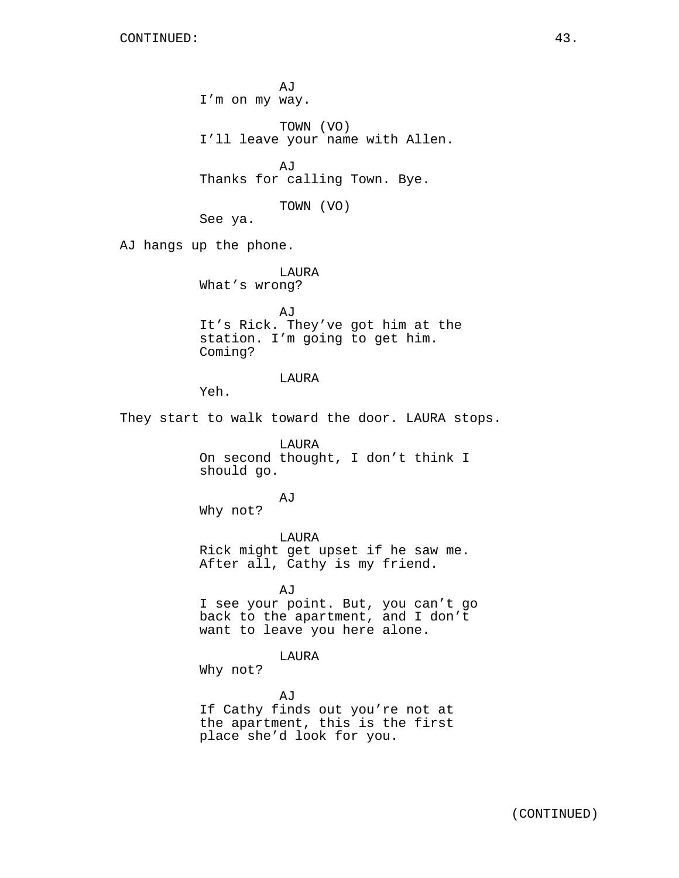AJ I'm on my way. TOWN (VO) I'll leave your name with Allen. AJ Thanks for calling Town. Bye. TOWN (VO) See ya. AJ hangs up the phone. LAURA What's wrong? AJ It's Rick. They've got him at the station. I'm going to get him. Coming? LAURA Yeh. They start to walk toward the door. LAURA stops. LAURA On second thought, I don't think I should go. AJ Why not? LAURA Rick might get upset if he saw me. After all, Cathy is my friend. AJ I see your point. But, you can't go back to the apartment, and I don't want to leave you here alone. LAURA Why not? AJ If Cathy finds out you're not at the apartment, this is the first place she'd look for you.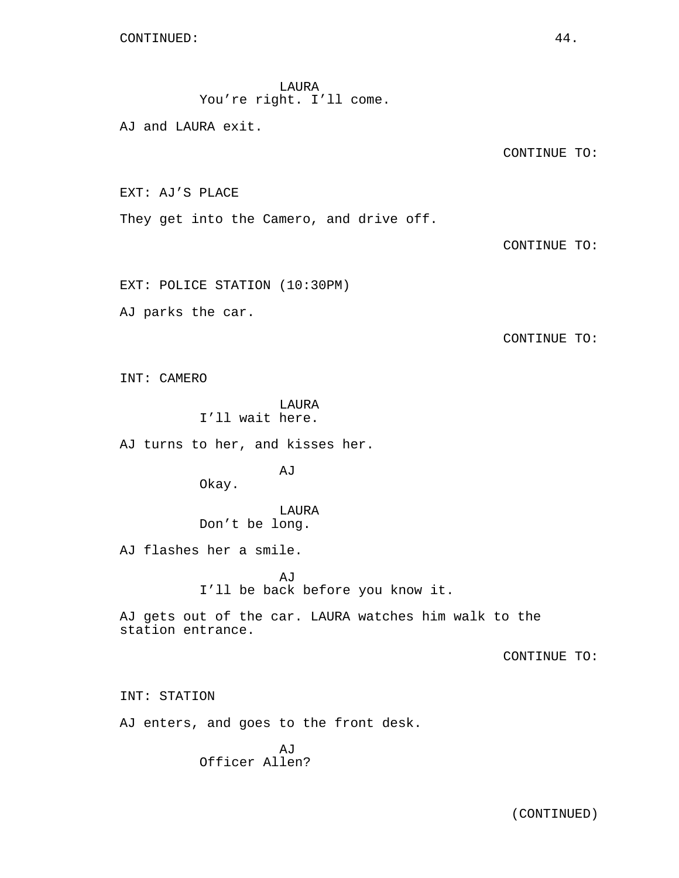LAURA You're right. I'll come.

AJ and LAURA exit.

CONTINUE TO:

EXT: AJ'S PLACE

They get into the Camero, and drive off.

CONTINUE TO:

EXT: POLICE STATION (10:30PM)

AJ parks the car.

CONTINUE TO:

INT: CAMERO

LAURA I'll wait here.

AJ turns to her, and kisses her.

AJ

Okay.

LAURA Don't be long.

AJ flashes her a smile.

AJ I'll be back before you know it.

AJ gets out of the car. LAURA watches him walk to the station entrance.

CONTINUE TO:

INT: STATION

AJ enters, and goes to the front desk.

AJ Officer Allen?

(CONTINUED)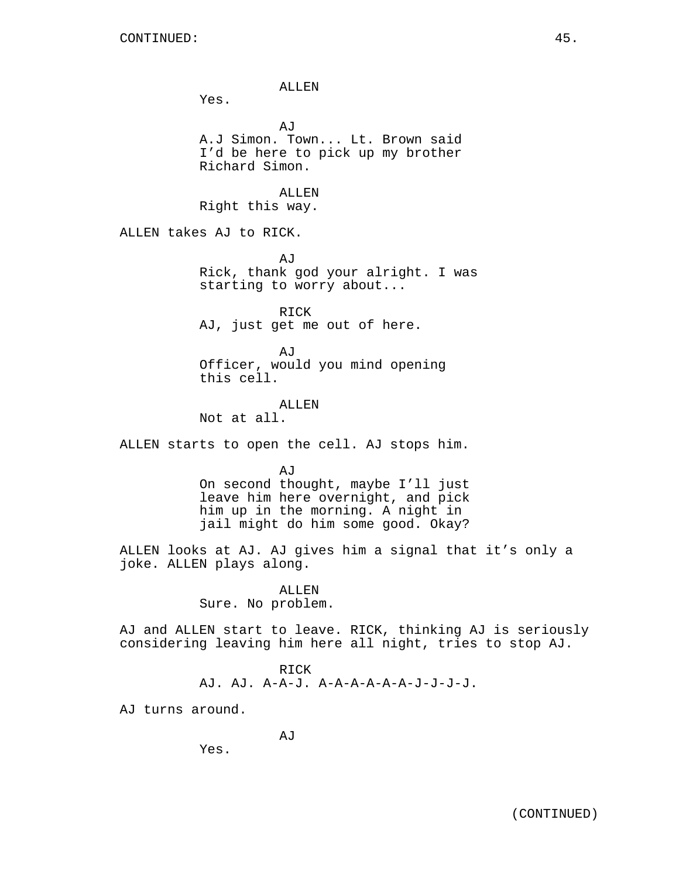ALLEN

AJ

Yes.

A.J Simon. Town... Lt. Brown said I'd be here to pick up my brother Richard Simon. ALLEN Right this way. ALLEN takes AJ to RICK. AJ Rick, thank god your alright. I was starting to worry about...

> RICK AJ, just get me out of here.

AJ Officer, would you mind opening this cell.

#### ALLEN

Not at all.

ALLEN starts to open the cell. AJ stops him.

AJ

On second thought, maybe I'll just leave him here overnight, and pick him up in the morning. A night in jail might do him some good. Okay?

ALLEN looks at AJ. AJ gives him a signal that it's only a joke. ALLEN plays along.

> ALLEN Sure. No problem.

AJ and ALLEN start to leave. RICK, thinking AJ is seriously considering leaving him here all night, tries to stop AJ.

$$
\tt{RICK}
$$

AJ. AJ. A-A-J. A-A-A-A-A-A-J-J-J-J.

AJ turns around.

Yes.

(CONTINUED)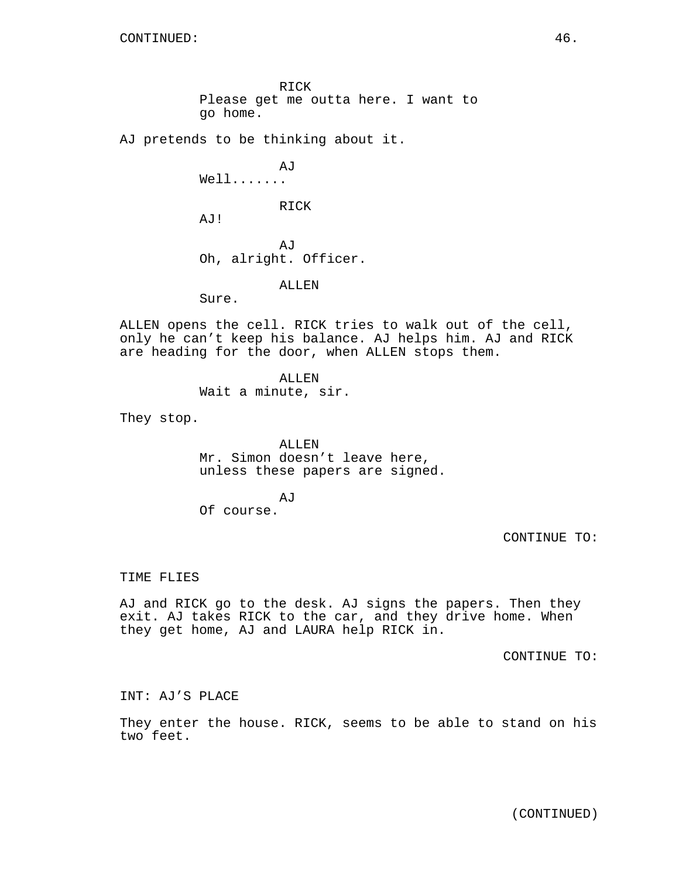RICK Please get me outta here. I want to go home.

AJ pretends to be thinking about it.

AJ Well....... RICK AJ! AJ Oh, alright. Officer.

ALLEN

Sure.

ALLEN opens the cell. RICK tries to walk out of the cell, only he can't keep his balance. AJ helps him. AJ and RICK are heading for the door, when ALLEN stops them.

> ALLEN Wait a minute, sir.

They stop.

ALLEN Mr. Simon doesn't leave here, unless these papers are signed.

AJ

Of course.

CONTINUE TO:

TIME FLIES

AJ and RICK go to the desk. AJ signs the papers. Then they exit. AJ takes RICK to the car, and they drive home. When they get home, AJ and LAURA help RICK in.

CONTINUE TO:

INT: AJ'S PLACE

They enter the house. RICK, seems to be able to stand on his two feet.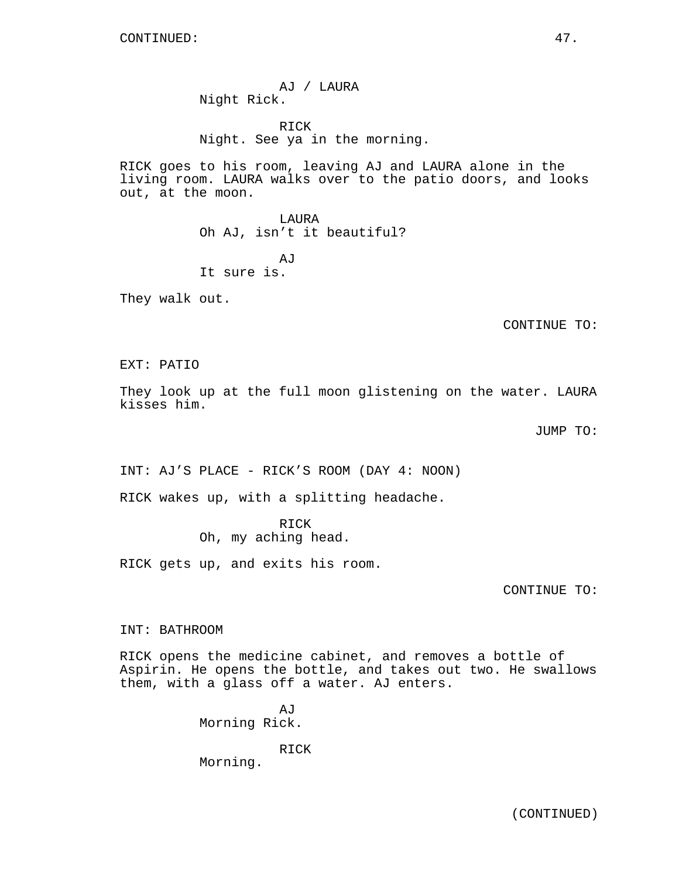AJ / LAURA Night Rick.

RICK Night. See ya in the morning.

RICK goes to his room, leaving AJ and LAURA alone in the living room. LAURA walks over to the patio doors, and looks out, at the moon.

> LAURA Oh AJ, isn't it beautiful?

AJ It sure is.

They walk out.

CONTINUE TO:

EXT: PATIO

They look up at the full moon glistening on the water. LAURA kisses him.

JUMP TO:

INT: AJ'S PLACE - RICK'S ROOM (DAY 4: NOON)

RICK wakes up, with a splitting headache.

RICK Oh, my aching head.

RICK gets up, and exits his room.

CONTINUE TO:

INT: BATHROOM

RICK opens the medicine cabinet, and removes a bottle of Aspirin. He opens the bottle, and takes out two. He swallows them, with a glass off a water. AJ enters.

> AJ Morning Rick.

> > RICK

Morning.

(CONTINUED)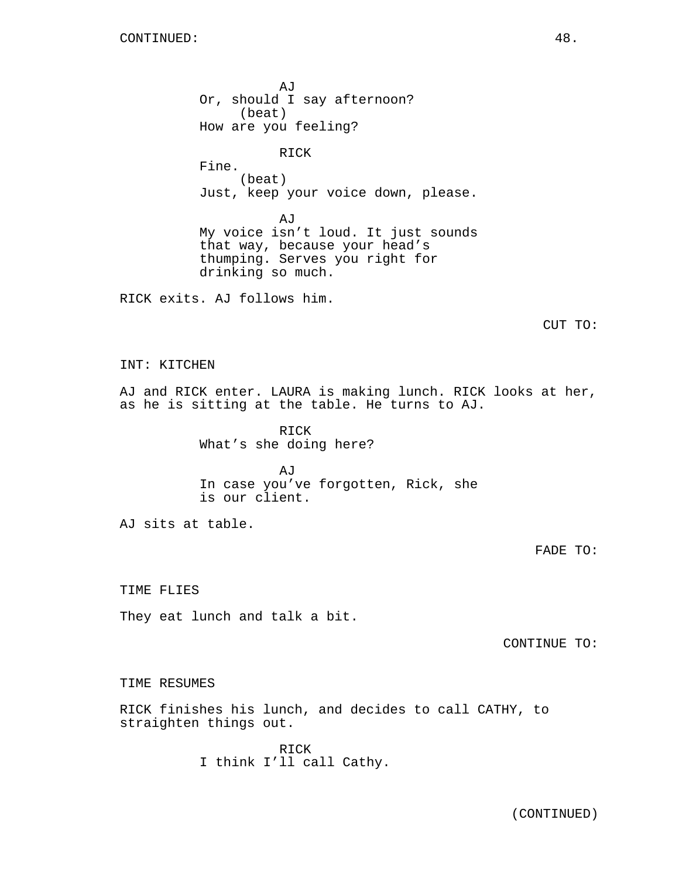AJ Or, should I say afternoon? (beat) How are you feeling? RICK Fine. (beat) Just, keep your voice down, please. AJ My voice isn't loud. It just sounds that way, because your head's thumping. Serves you right for drinking so much. RICK exits. AJ follows him. CUT TO: INT: KITCHEN AJ and RICK enter. LAURA is making lunch. RICK looks at her, as he is sitting at the table. He turns to AJ. RICK What's she doing here? AJ In case you've forgotten, Rick, she is our client. AJ sits at table. FADE TO: TIME FLIES

They eat lunch and talk a bit.

CONTINUE TO:

TIME RESUMES

RICK finishes his lunch, and decides to call CATHY, to straighten things out.

> RICK I think I'll call Cathy.

> > (CONTINUED)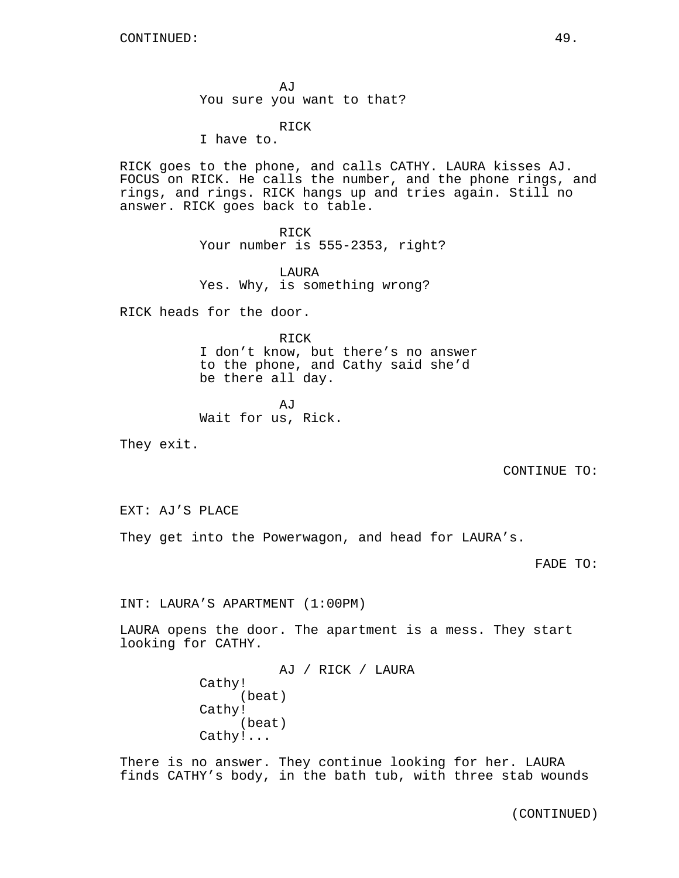AJ You sure you want to that?

RICK

I have to.

RICK goes to the phone, and calls CATHY. LAURA kisses AJ. FOCUS on RICK. He calls the number, and the phone rings, and rings, and rings. RICK hangs up and tries again. Still no answer. RICK goes back to table.

> RICK Your number is 555-2353, right?

LAURA Yes. Why, is something wrong?

RICK heads for the door.

RICK I don't know, but there's no answer to the phone, and Cathy said she'd be there all day.

AJ Wait for us, Rick.

They exit.

CONTINUE TO:

EXT: AJ'S PLACE

They get into the Powerwagon, and head for LAURA's.

FADE TO:

INT: LAURA'S APARTMENT (1:00PM)

LAURA opens the door. The apartment is a mess. They start looking for CATHY.

> AJ / RICK / LAURA Cathy! (beat) Cathy! (beat) Cathy!...

There is no answer. They continue looking for her. LAURA finds CATHY's body, in the bath tub, with three stab wounds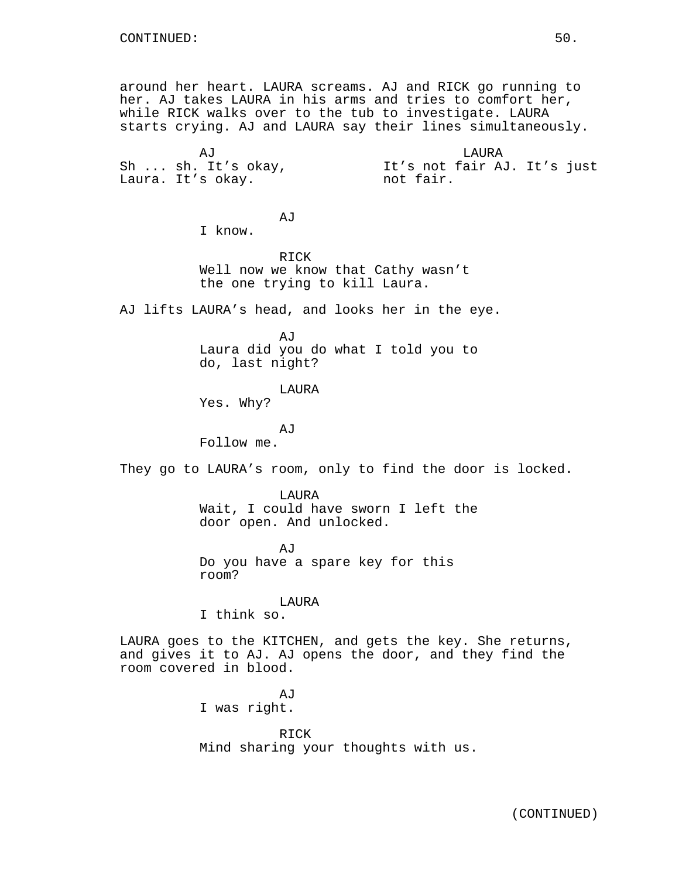around her heart. LAURA screams. AJ and RICK go running to her. AJ takes LAURA in his arms and tries to comfort her, while RICK walks over to the tub to investigate. LAURA starts crying. AJ and LAURA say their lines simultaneously.

AJ Sh ... sh. It's okay, Laura. It's okay.

LAURA It's not fair AJ. It's just not fair.

I know.

RICK Well now we know that Cathy wasn't the one trying to kill Laura.

AJ lifts LAURA's head, and looks her in the eye.

AJ

AJ

Laura did you do what I told you to do, last night?

LAURA

Yes. Why?

AJ Follow me.

They go to LAURA's room, only to find the door is locked.

LAURA Wait, I could have sworn I left the door open. And unlocked.

AJ Do you have a spare key for this room?

LAURA I think so.

LAURA goes to the KITCHEN, and gets the key. She returns, and gives it to AJ. AJ opens the door, and they find the room covered in blood.

> **AJ** I was right.

RICK Mind sharing your thoughts with us.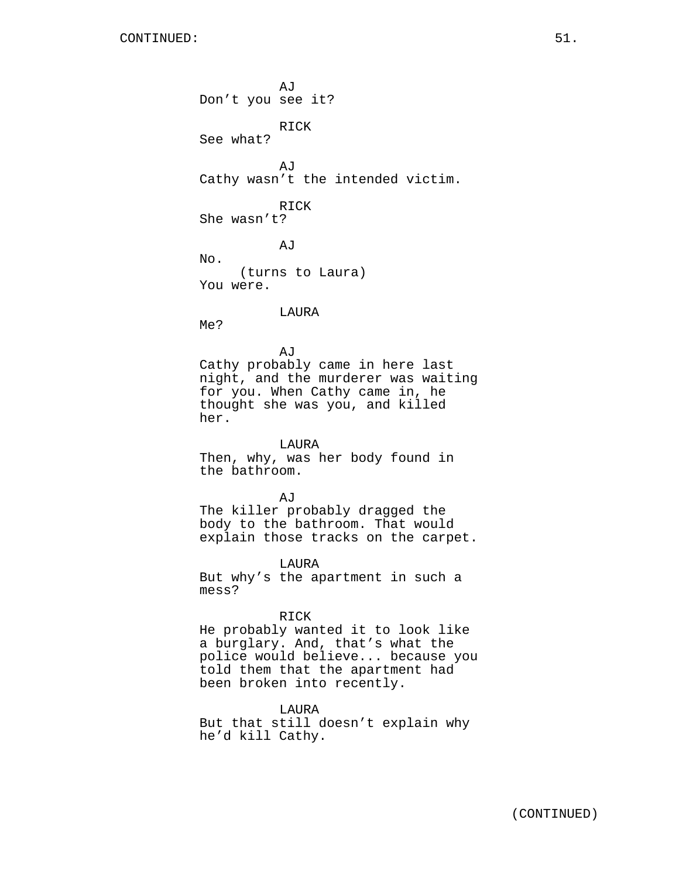AJ Don't you see it? RICK See what? AJ Cathy wasn't the intended victim. RICK She wasn't? AJ No. (turns to Laura) You were. LAURA Me? AJ Cathy probably came in here last night, and the murderer was waiting for you. When Cathy came in, he thought she was you, and killed her. LAURA Then, why, was her body found in the bathroom. **AJ** The killer probably dragged the body to the bathroom. That would explain those tracks on the carpet. LAURA But why's the apartment in such a mess? RICK He probably wanted it to look like a burglary. And, that's what the police would believe... because you told them that the apartment had been broken into recently. LAURA But that still doesn't explain why he'd kill Cathy.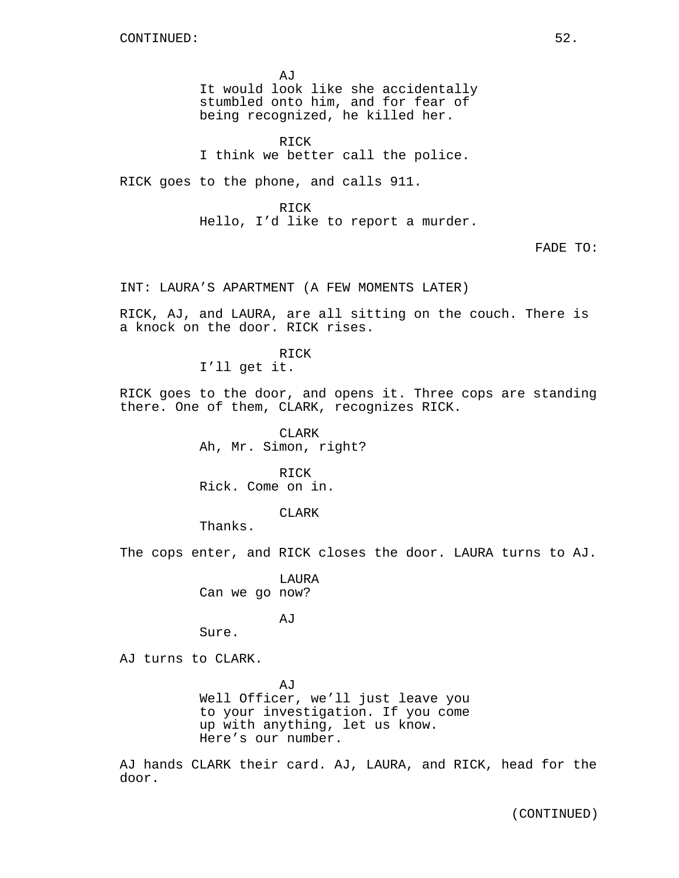AJ It would look like she accidentally stumbled onto him, and for fear of being recognized, he killed her.

RICK I think we better call the police.

RICK goes to the phone, and calls 911.

RICK Hello, I'd like to report a murder.

FADE TO:

INT: LAURA'S APARTMENT (A FEW MOMENTS LATER)

RICK, AJ, and LAURA, are all sitting on the couch. There is a knock on the door. RICK rises.

RICK

I'll get it.

RICK goes to the door, and opens it. Three cops are standing there. One of them, CLARK, recognizes RICK.

> CLARK Ah, Mr. Simon, right?

RICK Rick. Come on in.

CLARK

Thanks.

Sure.

The cops enter, and RICK closes the door. LAURA turns to AJ.

LAURA Can we go now?

AJ

AJ turns to CLARK.

AJ Well Officer, we'll just leave you to your investigation. If you come up with anything, let us know. Here's our number.

AJ hands CLARK their card. AJ, LAURA, and RICK, head for the door.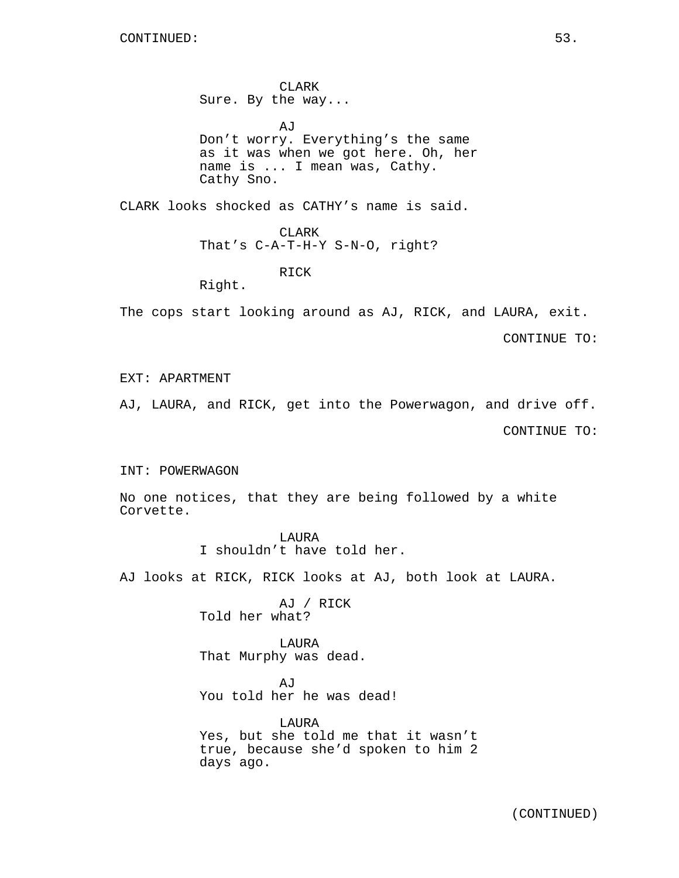CLARK Sure. By the way...

AJ Don't worry. Everything's the same as it was when we got here. Oh, her name is ... I mean was, Cathy. Cathy Sno.

CLARK looks shocked as CATHY's name is said.

# CLARK

That's C-A-T-H-Y S-N-O, right?

RICK

Right.

The cops start looking around as AJ, RICK, and LAURA, exit.

CONTINUE TO:

# EXT: APARTMENT

AJ, LAURA, and RICK, get into the Powerwagon, and drive off.

CONTINUE TO:

#### INT: POWERWAGON

No one notices, that they are being followed by a white Corvette.

> LAURA I shouldn't have told her.

AJ looks at RICK, RICK looks at AJ, both look at LAURA.

AJ / RICK Told her what?

LAURA That Murphy was dead.

AJ You told her he was dead!

LAURA Yes, but she told me that it wasn't true, because she'd spoken to him 2 days ago.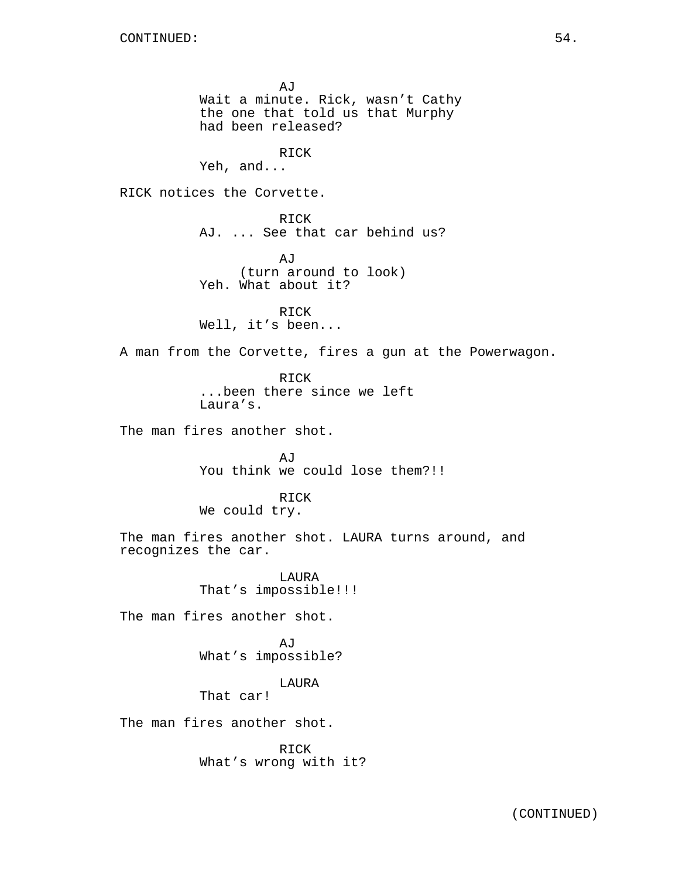AJ Wait a minute. Rick, wasn't Cathy the one that told us that Murphy had been released? RICK Yeh, and... RICK notices the Corvette. RICK AJ. ... See that car behind us? AJ (turn around to look) Yeh. What about it? RICK Well, it's been... A man from the Corvette, fires a gun at the Powerwagon. RICK ...been there since we left Laura's. The man fires another shot. AJ You think we could lose them?!! RICK We could try. The man fires another shot. LAURA turns around, and recognizes the car. LAURA That's impossible!!! The man fires another shot. AJ What's impossible? LAURA That car! The man fires another shot. RICK

What's wrong with it?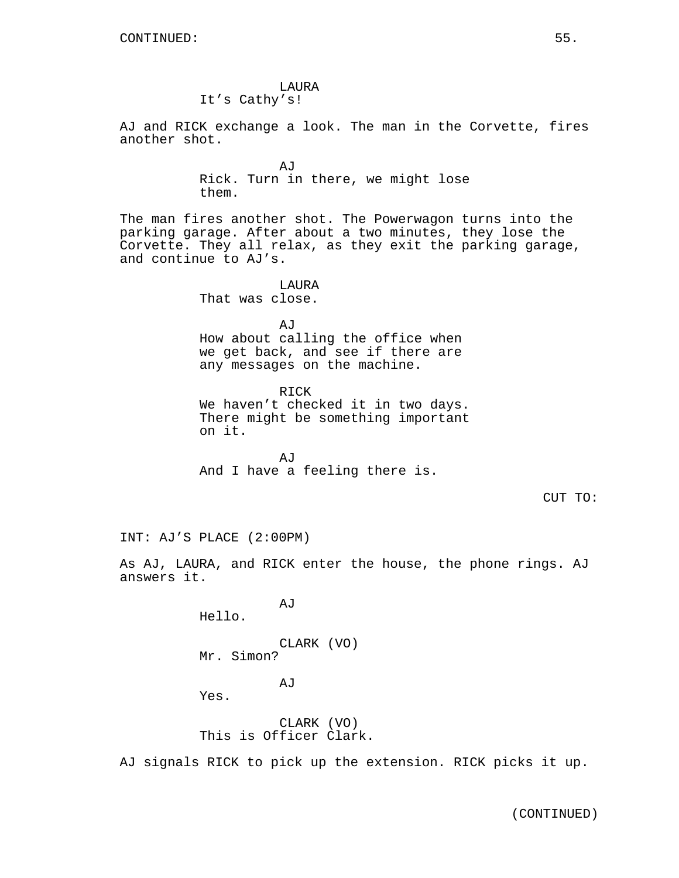AJ and RICK exchange a look. The man in the Corvette, fires another shot.

> AJ Rick. Turn in there, we might lose them.

The man fires another shot. The Powerwagon turns into the parking garage. After about a two minutes, they lose the Corvette. They all relax, as they exit the parking garage, and continue to AJ's.

> LAURA That was close.

AJ How about calling the office when we get back, and see if there are any messages on the machine.

RICK We haven't checked it in two days. There might be something important on it.

AJ And I have a feeling there is.

CUT TO:

INT: AJ'S PLACE (2:00PM)

As AJ, LAURA, and RICK enter the house, the phone rings. AJ answers it.

Hello.

CLARK (VO) Mr. Simon?

AJ

AJ

Yes.

CLARK (VO) This is Officer Clark.

AJ signals RICK to pick up the extension. RICK picks it up.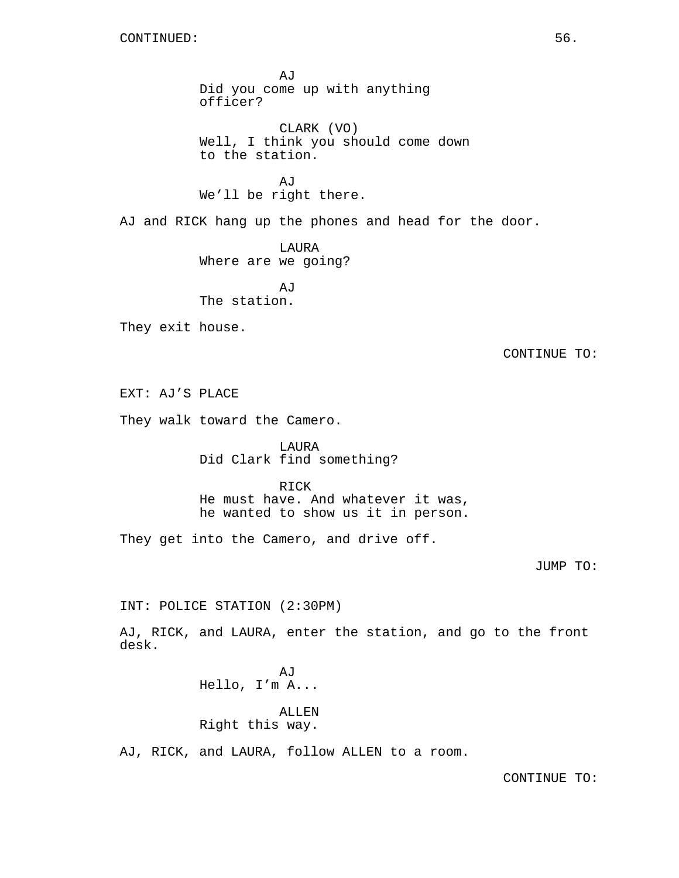AJ Did you come up with anything officer?

CLARK (VO) Well, I think you should come down to the station.

AJ We'll be right there.

AJ and RICK hang up the phones and head for the door.

LAURA Where are we going?

AJ The station.

They exit house.

CONTINUE TO:

EXT: AJ'S PLACE

They walk toward the Camero.

LAURA Did Clark find something?

RICK

He must have. And whatever it was, he wanted to show us it in person.

They get into the Camero, and drive off.

# JUMP TO:

INT: POLICE STATION (2:30PM)

AJ, RICK, and LAURA, enter the station, and go to the front desk.

> AJ Hello, I'm A...

ALLEN Right this way.

AJ, RICK, and LAURA, follow ALLEN to a room.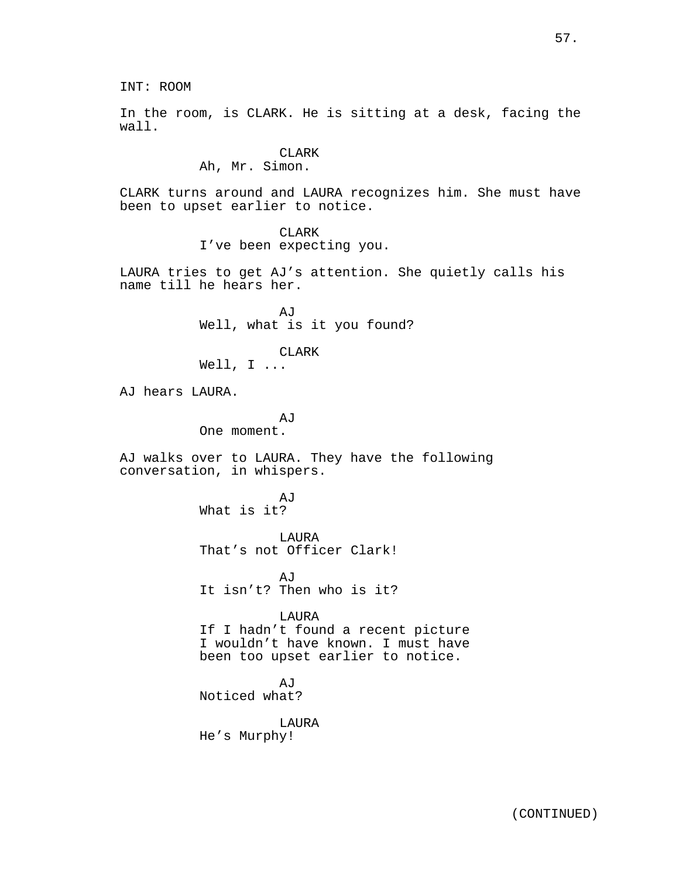INT: ROOM

In the room, is CLARK. He is sitting at a desk, facing the wall.

# CLARK

Ah, Mr. Simon.

CLARK turns around and LAURA recognizes him. She must have been to upset earlier to notice.

> CLARK I've been expecting you.

LAURA tries to get AJ's attention. She quietly calls his name till he hears her.

> AJ Well, what is it you found?

> > CLARK

Well, I ...

AJ hears LAURA.

AJ One moment.

AJ walks over to LAURA. They have the following conversation, in whispers.

> AJ What is it?

LAURA That's not Officer Clark!

**A**<sub>I</sub>T It isn't? Then who is it?

LAURA

If I hadn't found a recent picture I wouldn't have known. I must have been too upset earlier to notice.

AJ Noticed what?

LAURA He's Murphy!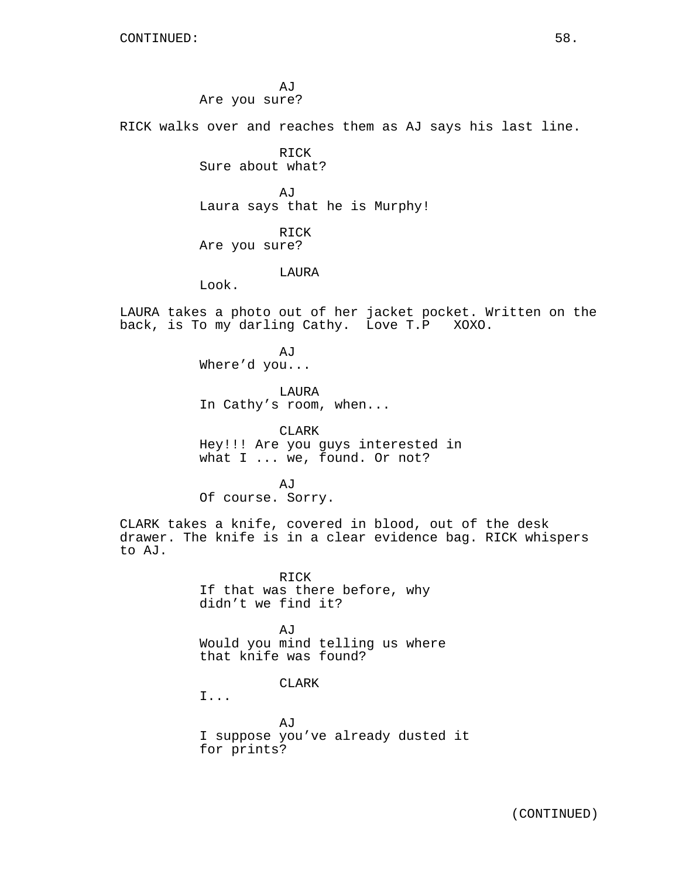AJ Are you sure?

RICK walks over and reaches them as AJ says his last line.

**RTCK** Sure about what?

AJ Laura says that he is Murphy!

RICK Are you sure?

LAURA

Look.

LAURA takes a photo out of her jacket pocket. Written on the back, is To my darling Cathy. Love T.P XOXO.

> **A**<sub>I</sub>T Where'd you...

LAURA In Cathy's room, when...

CLARK Hey!!! Are you guys interested in what I ... we, found. Or not?

A<sub>I</sub>T Of course. Sorry.

CLARK takes a knife, covered in blood, out of the desk drawer. The knife is in a clear evidence bag. RICK whispers to AJ.

> RICK If that was there before, why didn't we find it?

AJ Would you mind telling us where that knife was found?

CLARK

I...

AJ I suppose you've already dusted it for prints?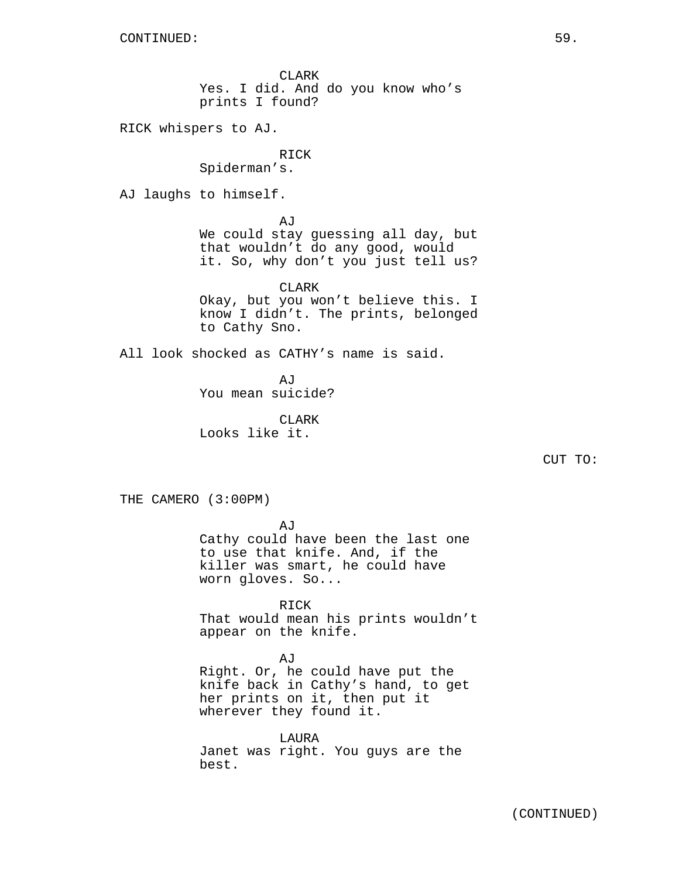CLARK Yes. I did. And do you know who's prints I found?

RICK whispers to AJ.

RICK Spiderman's.

AJ laughs to himself.

AJ

We could stay guessing all day, but that wouldn't do any good, would it. So, why don't you just tell us?

CLARK Okay, but you won't believe this. I know I didn't. The prints, belonged to Cathy Sno.

All look shocked as CATHY's name is said.

**AJ** You mean suicide?

CLARK Looks like it.

THE CAMERO (3:00PM)

AJ

Cathy could have been the last one to use that knife. And, if the killer was smart, he could have worn gloves. So...

RICK That would mean his prints wouldn't appear on the knife.

## AJ

Right. Or, he could have put the knife back in Cathy's hand, to get her prints on it, then put it wherever they found it.

LAURA Janet was right. You guys are the best.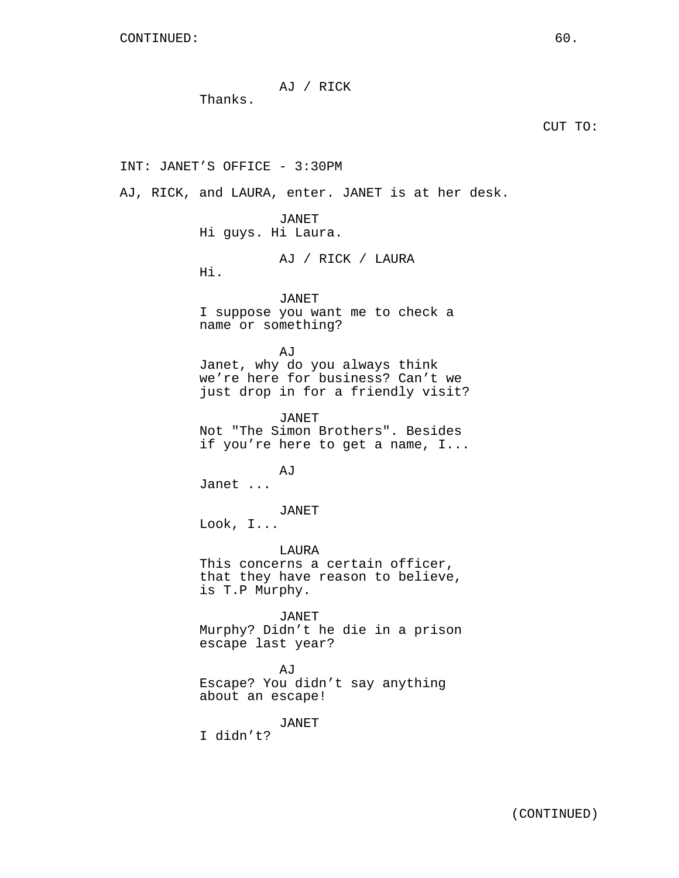AJ / RICK

Thanks.

INT: JANET'S OFFICE - 3:30PM

AJ, RICK, and LAURA, enter. JANET is at her desk.

JANET Hi guys. Hi Laura.

AJ / RICK / LAURA

Hi.

JANET I suppose you want me to check a name or something?

AJ Janet, why do you always think we're here for business? Can't we just drop in for a friendly visit?

JANET Not "The Simon Brothers". Besides if you're here to get a name, I...

AJ Janet ...

JANET

Look, I...

LAURA This concerns a certain officer, that they have reason to believe, is T.P Murphy.

JANET Murphy? Didn't he die in a prison escape last year?

AJ Escape? You didn't say anything about an escape!

JANET

I didn't?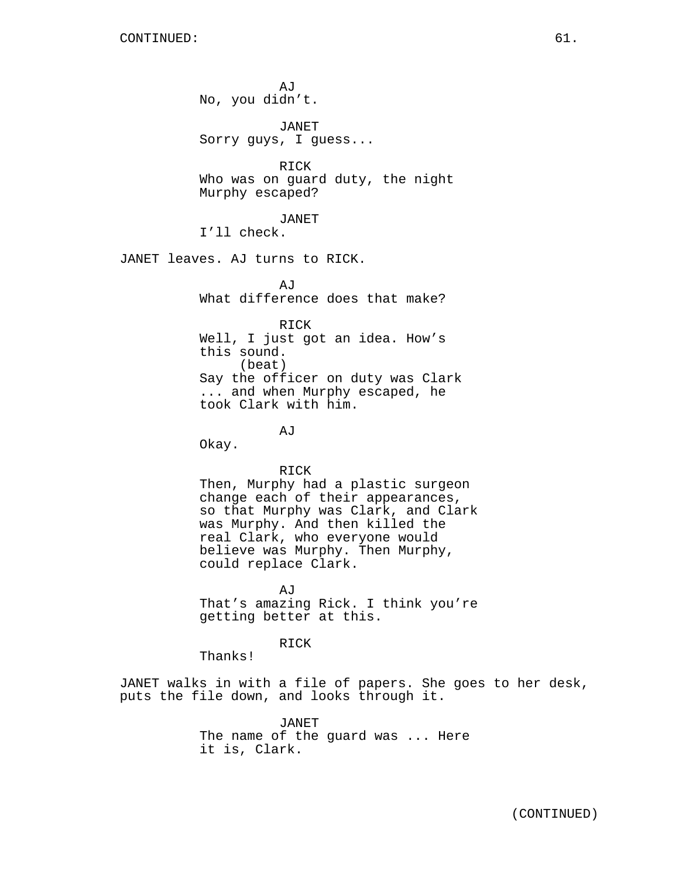AJ No, you didn't. JANET Sorry guys, I guess... RICK Who was on guard duty, the night Murphy escaped? JANET I'll check. JANET leaves. AJ turns to RICK. **AJ** What difference does that make? RICK Well, I just got an idea. How's this sound. (beat) Say the officer on duty was Clark ... and when Murphy escaped, he took Clark with him.

AJ

Okay.

RICK

Then, Murphy had a plastic surgeon change each of their appearances, so that Murphy was Clark, and Clark was Murphy. And then killed the real Clark, who everyone would believe was Murphy. Then Murphy, could replace Clark.

AJ That's amazing Rick. I think you're getting better at this.

RICK

Thanks!

JANET walks in with a file of papers. She goes to her desk, puts the file down, and looks through it.

> JANET The name of the guard was ... Here it is, Clark.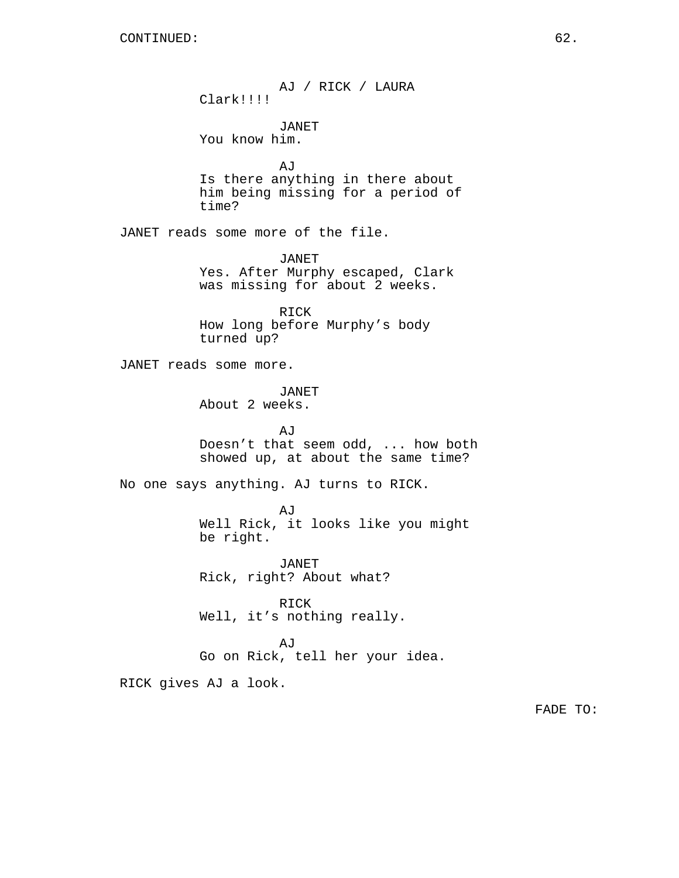AJ / RICK / LAURA Clark!!!! JANET You know him. AJ Is there anything in there about him being missing for a period of time? JANET reads some more of the file. JANET Yes. After Murphy escaped, Clark was missing for about 2 weeks. RICK How long before Murphy's body turned up? JANET reads some more. JANET About 2 weeks. AJ Doesn't that seem odd, ... how both showed up, at about the same time? No one says anything. AJ turns to RICK. AJ Well Rick, it looks like you might be right. JANET Rick, right? About what? RICK Well, it's nothing really. AJ Go on Rick, tell her your idea. RICK gives AJ a look.

FADE TO: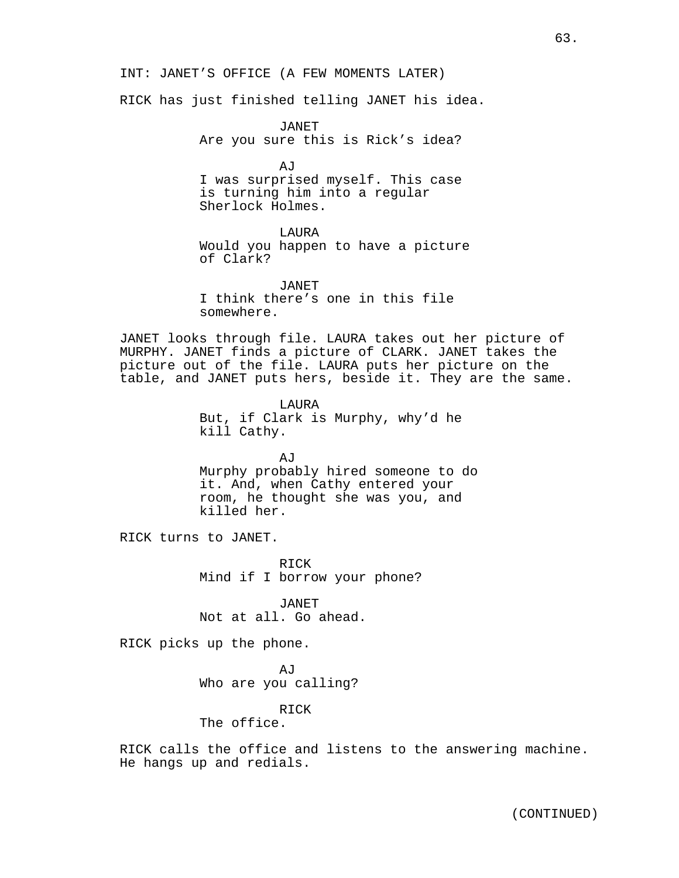INT: JANET'S OFFICE (A FEW MOMENTS LATER)

RICK has just finished telling JANET his idea.

JANET Are you sure this is Rick's idea?

AJ I was surprised myself. This case is turning him into a regular Sherlock Holmes.

LAURA

Would you happen to have a picture of Clark?

JANET I think there's one in this file somewhere.

JANET looks through file. LAURA takes out her picture of MURPHY. JANET finds a picture of CLARK. JANET takes the picture out of the file. LAURA puts her picture on the table, and JANET puts hers, beside it. They are the same.

> LAURA But, if Clark is Murphy, why'd he kill Cathy.

AJ Murphy probably hired someone to do it. And, when Cathy entered your room, he thought she was you, and killed her.

RICK turns to JANET.

RICK Mind if I borrow your phone?

JANET Not at all. Go ahead.

RICK picks up the phone.

AJ Who are you calling?

#### RICK

The office.

RICK calls the office and listens to the answering machine. He hangs up and redials.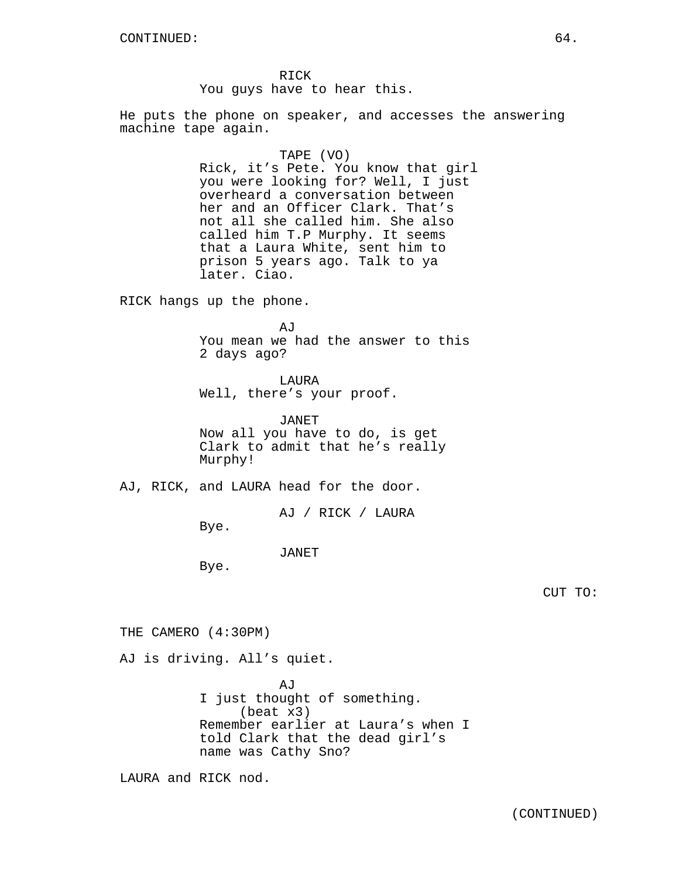RICK You guys have to hear this.

He puts the phone on speaker, and accesses the answering machine tape again.

### TAPE (VO)

Rick, it's Pete. You know that girl you were looking for? Well, I just overheard a conversation between her and an Officer Clark. That's not all she called him. She also called him T.P Murphy. It seems that a Laura White, sent him to prison 5 years ago. Talk to ya later. Ciao.

RICK hangs up the phone.

 $A,T$ You mean we had the answer to this 2 days ago?

LAURA

Well, there's your proof.

JANET Now all you have to do, is get Clark to admit that he's really Murphy!

AJ, RICK, and LAURA head for the door.

AJ / RICK / LAURA

Bye.

JANET

Bye.

CUT TO:

THE CAMERO (4:30PM)

AJ is driving. All's quiet.

**AJ** I just thought of something. (beat x3) Remember earlier at Laura's when I told Clark that the dead girl's name was Cathy Sno?

LAURA and RICK nod.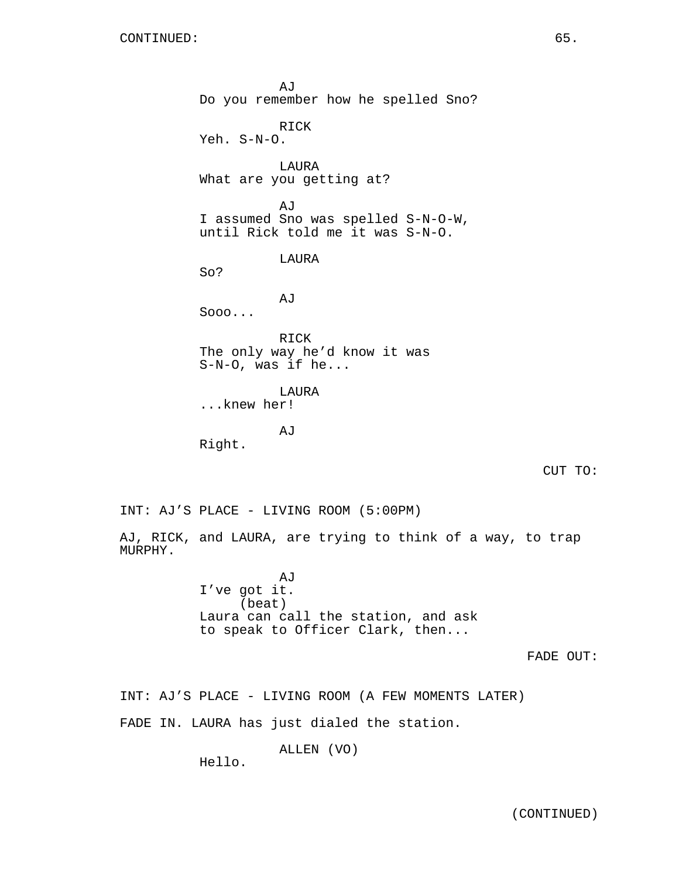MURPHY.

AJ Do you remember how he spelled Sno? RICK Yeh. S-N-O. LAURA What are you getting at? AJ I assumed Sno was spelled S-N-O-W, until Rick told me it was S-N-O. LAURA So? AJ Sooo... RICK The only way he'd know it was S-N-O, was if he... LAURA ...knew her! AJ Right. CUT TO: INT: AJ'S PLACE - LIVING ROOM (5:00PM) AJ, RICK, and LAURA, are trying to think of a way, to trap AJ I've got it.

(beat) Laura can call the station, and ask to speak to Officer Clark, then...

FADE OUT:

INT: AJ'S PLACE - LIVING ROOM (A FEW MOMENTS LATER)

FADE IN. LAURA has just dialed the station.

ALLEN (VO)

Hello.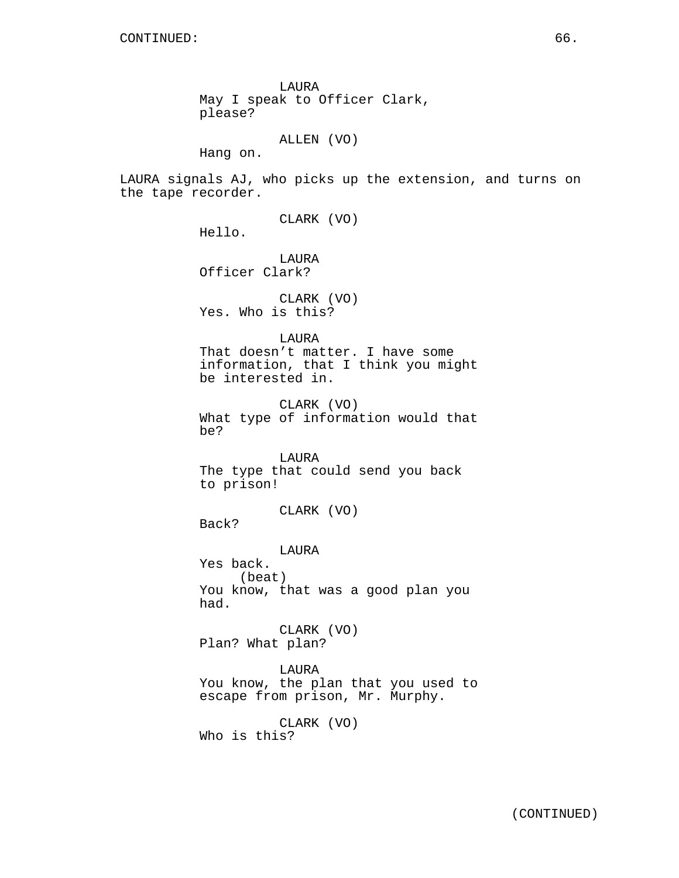LAURA May I speak to Officer Clark, please?

ALLEN (VO)

Hang on.

LAURA signals AJ, who picks up the extension, and turns on the tape recorder.

CLARK (VO)

Hello.

LAURA Officer Clark?

CLARK (VO) Yes. Who is this?

LAURA

That doesn't matter. I have some information, that I think you might be interested in.

CLARK (VO) What type of information would that be?

LAURA The type that could send you back to prison!

CLARK (VO)

Back?

LAURA

Yes back. (beat) You know, that was a good plan you had.

CLARK (VO) Plan? What plan?

LAURA You know, the plan that you used to escape from prison, Mr. Murphy.

CLARK (VO) Who is this?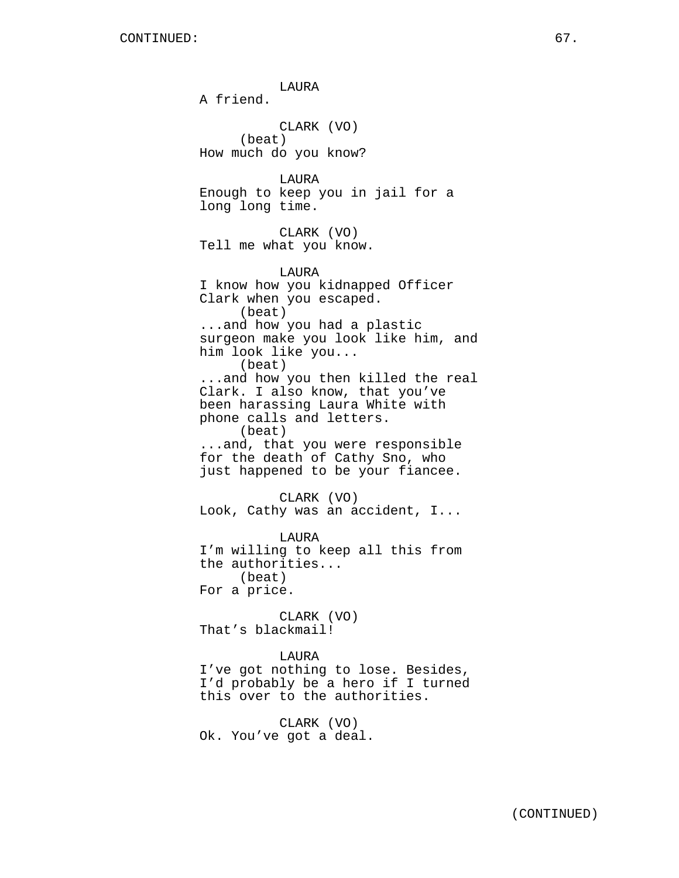LAURA A friend. CLARK (VO) (beat) How much do you know? LAURA Enough to keep you in jail for a long long time. CLARK (VO) Tell me what you know. LAURA I know how you kidnapped Officer Clark when you escaped. (beat) ...and how you had a plastic surgeon make you look like him, and him look like you... (beat) ...and how you then killed the real Clark. I also know, that you've been harassing Laura White with phone calls and letters. (beat) ...and, that you were responsible for the death of Cathy Sno, who just happened to be your fiancee. CLARK (VO) Look, Cathy was an accident, I... LAURA I'm willing to keep all this from the authorities... (beat) For a price. CLARK (VO) That's blackmail! LAURA I've got nothing to lose. Besides, I'd probably be a hero if I turned this over to the authorities. CLARK (VO)

Ok. You've got a deal.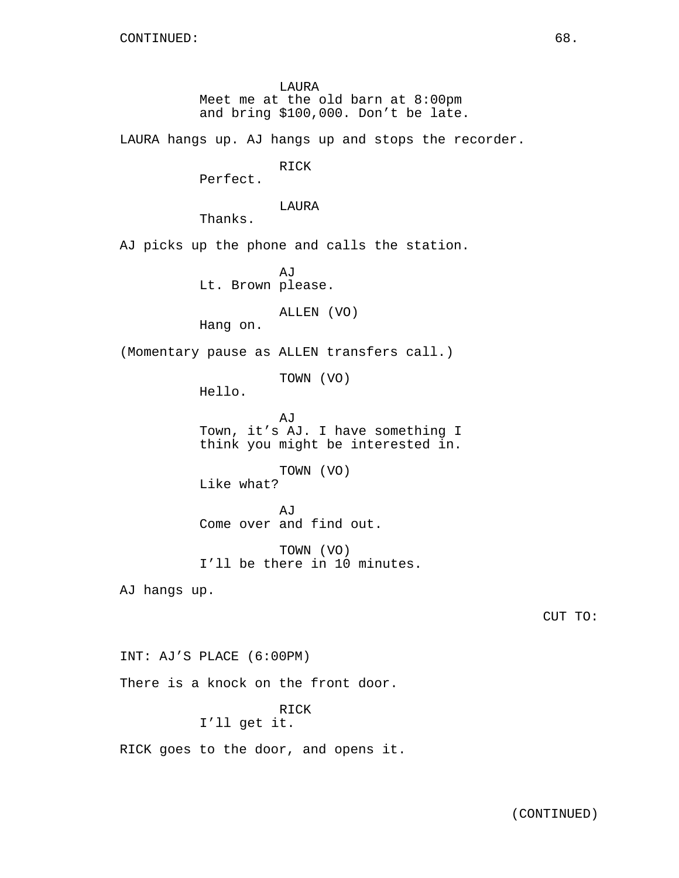LAURA Meet me at the old barn at 8:00pm and bring \$100,000. Don't be late. LAURA hangs up. AJ hangs up and stops the recorder. RICK Perfect. LAURA Thanks. AJ picks up the phone and calls the station. AJ Lt. Brown please. ALLEN (VO) Hang on. (Momentary pause as ALLEN transfers call.) TOWN (VO) Hello. AJ Town, it's AJ. I have something I think you might be interested in. TOWN (VO) Like what? AJ Come over and find out. TOWN (VO) I'll be there in 10 minutes. AJ hangs up. INT: AJ'S PLACE (6:00PM) There is a knock on the front door. RICK I'll get it.

RICK goes to the door, and opens it.

CUT TO: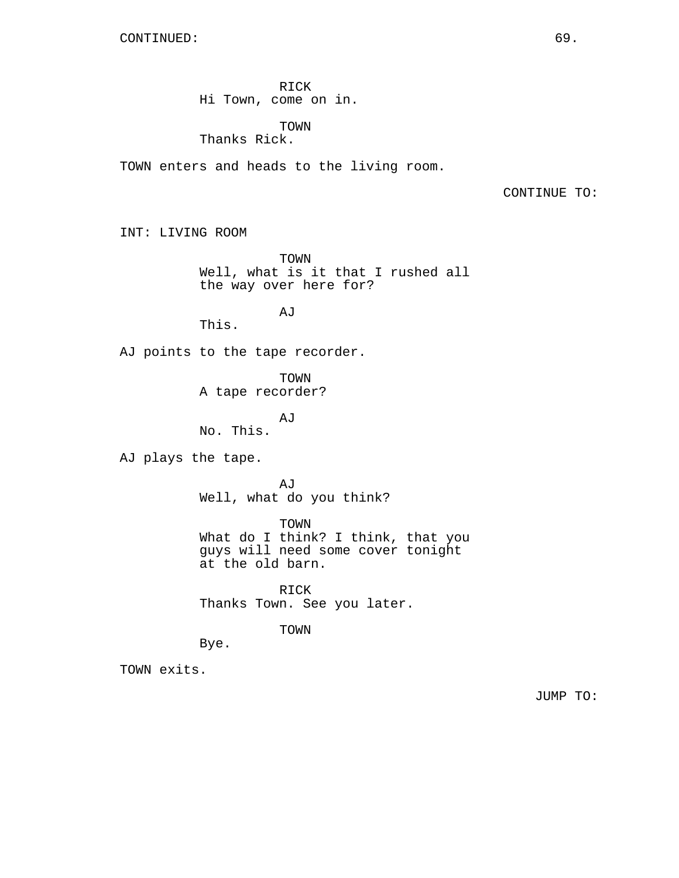RICK Hi Town, come on in.

TOWN Thanks Rick.

TOWN enters and heads to the living room.

CONTINUE TO:

INT: LIVING ROOM

TOWN Well, what is it that I rushed all the way over here for?

AJ

This.

AJ points to the tape recorder.

TOWN A tape recorder?

AJ No. This.

AJ plays the tape.

AJ Well, what do you think?

TOWN What do I think? I think, that you guys will need some cover tonight at the old barn.

RICK Thanks Town. See you later.

TOWN

Bye.

TOWN exits.

JUMP TO: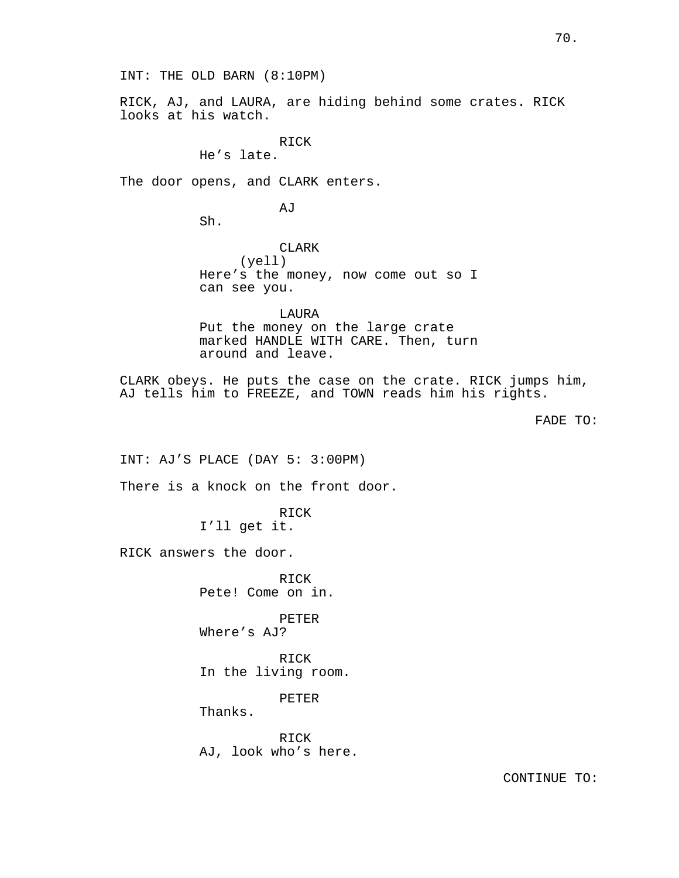INT: THE OLD BARN (8:10PM)

RICK, AJ, and LAURA, are hiding behind some crates. RICK looks at his watch.

> RICK He's late.

The door opens, and CLARK enters.

AJ

Sh.

CLARK (yell) Here's the money, now come out so I can see you.

LAURA Put the money on the large crate marked HANDLE WITH CARE. Then, turn around and leave.

CLARK obeys. He puts the case on the crate. RICK jumps him, AJ tells him to FREEZE, and TOWN reads him his rights.

FADE TO:

INT: AJ'S PLACE (DAY 5: 3:00PM)

There is a knock on the front door.

RICK I'll get it.

RICK answers the door.

RICK Pete! Come on in.

PETER Where's AJ?

RICK In the living room.

PETER

Thanks.

RICK AJ, look who's here.

CONTINUE TO: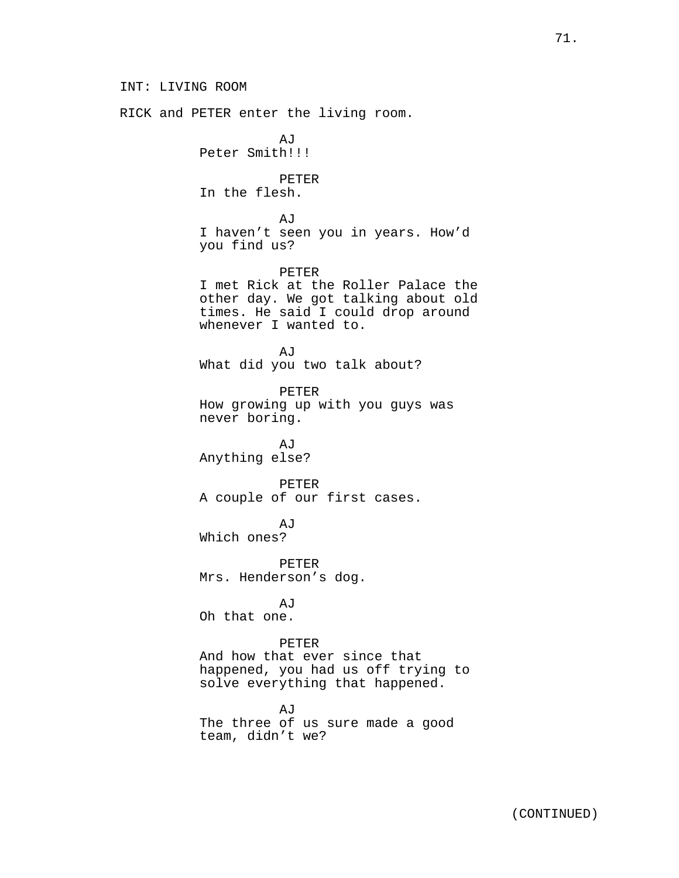INT: LIVING ROOM RICK and PETER enter the living room. AJ Peter Smith!!! PETER In the flesh. AJ I haven't seen you in years. How'd you find us? PETER I met Rick at the Roller Palace the other day. We got talking about old times. He said I could drop around whenever I wanted to. AJ What did you two talk about? PETER How growing up with you guys was never boring. AJ Anything else? PETER A couple of our first cases. AJ Which ones? PETER Mrs. Henderson's dog. AJ Oh that one. PETER And how that ever since that happened, you had us off trying to solve everything that happened. AJ The three of us sure made a good team, didn't we?